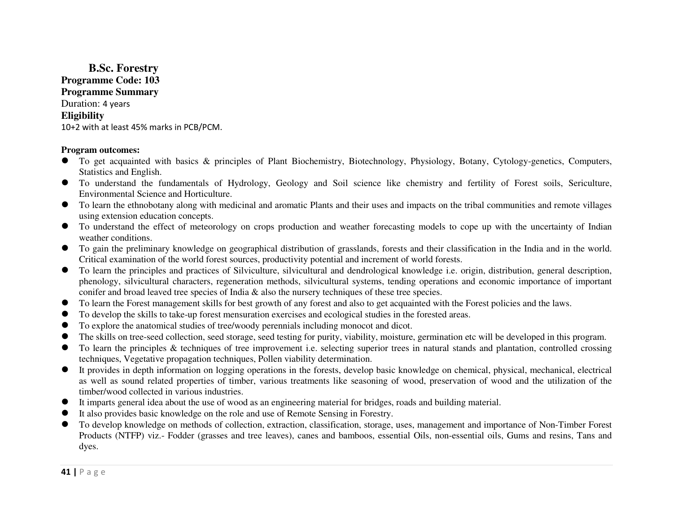**B.Sc. Forestry Programme Code: 103 Programme Summary** Duration: 4 years **Eligibility** 10+2 with at least 45% marks in PCB/PCM.

## **Program outcomes:**

- To get acquainted with basics & principles of Plant Biochemistry, Biotechnology, Physiology, Botany, Cytology-genetics, Computers, Statistics and English.
- To understand the fundamentals of Hydrology, Geology and Soil science like chemistry and fertility of Forest soils, Sericulture, Environmental Science and Horticulture.
- To learn the ethnobotany along with medicinal and aromatic Plants and their uses and impacts on the tribal communities and remote villages using a vertical contention acquisition concents. using extension education concepts.
- To understand the effect of meteorology on crops production and weather forecasting models to cope up with the uncertainty of Indian weather conditions weather conditions.
- To gain the preliminary knowledge on geographical distribution of grasslands, forests and their classification in the India and in the world.<br>Critical axamination of the world forest sources, productivity potential and i Critical examination of the world forest sources, productivity potential and increment of world forests.
- To learn the principles and practices of Silviculture, silvicultural and dendrological knowledge i.e. origin, distribution, general description, phanalaxy cilvicultural abancters, receptoring methods cilvicultural system phenology, silvicultural characters, regeneration methods, silvicultural systems, tending operations and economic importance of important conifer and broad leaved tree species of India & also the nursery techniques of these tree species.
- To learn the Forest management skills for best growth of any forest and also to get acquainted with the Forest policies and the laws.  $\bullet$
- $\bullet$ To develop the skills to take-up forest mensuration exercises and ecological studies in the forested areas.
- 0 To explore the anatomical studies of tree/woody perennials including monocot and dicot.
- The skills on tree-seed collection, seed storage, seed testing for purity, viability, moisture, germination etc will be developed in this program.
- To learn the principles & techniques of tree improvement i.e. selecting superior trees in natural stands and plantation, controlled crossing techniques, Vegetative propagation techniques, Pollen viability determination.
- It provides in depth information on logging operations in the forests, develop basic knowledge on chemical, physical, mechanical, electrical<br>es well as several related properties of timber verious treatments like assessing  $\bullet$ as well as sound related properties of timber, various treatments like seasoning of wood, preservation of wood and the utilization of the timber/wood collected in various industries.
- It imparts general idea about the use of wood as an engineering material for bridges, roads and building material.  $\bullet$
- 0 It also provides basic knowledge on the role and use of Remote Sensing in Forestry.
- $\bullet$  To develop knowledge on methods of collection, extraction, classification, storage, uses, management and importance of Non-Timber Forest Products (NTFP) viz.- Fodder (grasses and tree leaves), canes and bamboos, essential Oils, non-essential oils, Gums and resins, Tans and dyes.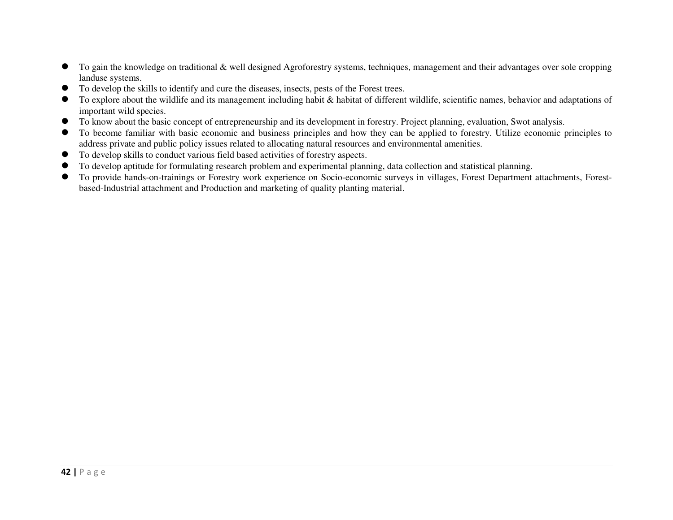- To gain the knowledge on traditional & well designed Agroforestry systems, techniques, management and their advantages over sole cropping landuse systems. landuse systems.
- $\bullet$  To develop the skills to identify and cure the diseases, insects, pests of the Forest trees.
- To explore about the wildlife and its management including habit & habitat of different wildlife, scientific names, behavior and adaptations of important wild species.
- To know about the basic concept of entrepreneurship and its development in forestry. Project planning, evaluation, Swot analysis.<br>The base we familiar with basic association and business grippinles and base that are he s
- To become familiar with basic economic and business principles and how they can be applied to forestry. Utilize economic principles to eddress principles to eddress principles to eddress principles issues related to elle address private and public policy issues related to allocating natural resources and environmental amenities.
- $\bullet$ To develop skills to conduct various field based activities of forestry aspects.
- To develop aptitude for formulating research problem and experimental planning, data collection and statistical planning.
- $\bullet$  To provide hands-on-trainings or Forestry work experience on Socio-economic surveys in villages, Forest Department attachments, Forestbased-Industrial attachment and Production and marketing of quality planting material.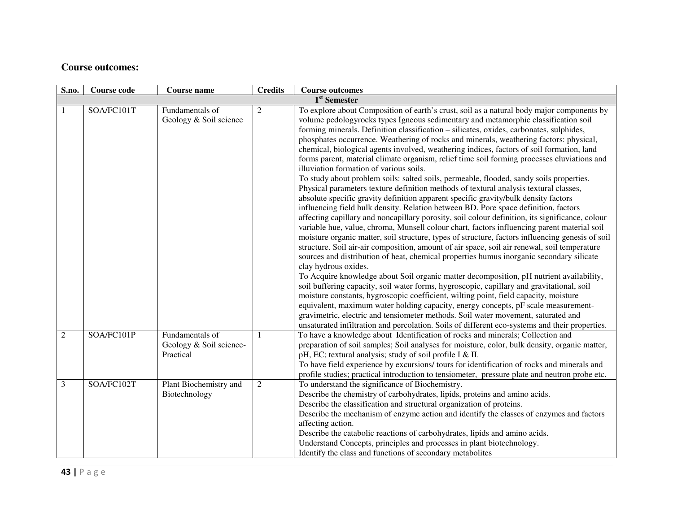## **Course outcomes:**

| S.no.          | <b>Course code</b> | <b>Course name</b>                                      | <b>Credits</b> | <b>Course outcomes</b>                                                                                                                                                                                                                                                                                                                                                                                                                                                                                                                                                                                                                                                                                                                                                                                                                                                                                                                                                                                                                                                                                                                                                                                                                                                                                                                                                                                                                                                                                                                                                                                                                                                                                                                                                                                                                                                                                                                                                                                                                                               |
|----------------|--------------------|---------------------------------------------------------|----------------|----------------------------------------------------------------------------------------------------------------------------------------------------------------------------------------------------------------------------------------------------------------------------------------------------------------------------------------------------------------------------------------------------------------------------------------------------------------------------------------------------------------------------------------------------------------------------------------------------------------------------------------------------------------------------------------------------------------------------------------------------------------------------------------------------------------------------------------------------------------------------------------------------------------------------------------------------------------------------------------------------------------------------------------------------------------------------------------------------------------------------------------------------------------------------------------------------------------------------------------------------------------------------------------------------------------------------------------------------------------------------------------------------------------------------------------------------------------------------------------------------------------------------------------------------------------------------------------------------------------------------------------------------------------------------------------------------------------------------------------------------------------------------------------------------------------------------------------------------------------------------------------------------------------------------------------------------------------------------------------------------------------------------------------------------------------------|
|                |                    |                                                         |                | 1 <sup>st</sup> Semester                                                                                                                                                                                                                                                                                                                                                                                                                                                                                                                                                                                                                                                                                                                                                                                                                                                                                                                                                                                                                                                                                                                                                                                                                                                                                                                                                                                                                                                                                                                                                                                                                                                                                                                                                                                                                                                                                                                                                                                                                                             |
|                | SOA/FC101T         | Fundamentals of<br>Geology & Soil science               | $\overline{c}$ | To explore about Composition of earth's crust, soil as a natural body major components by<br>volume pedologyrocks types Igneous sedimentary and metamorphic classification soil<br>forming minerals. Definition classification - silicates, oxides, carbonates, sulphides,<br>phosphates occurrence. Weathering of rocks and minerals, weathering factors: physical,<br>chemical, biological agents involved, weathering indices, factors of soil formation, land<br>forms parent, material climate organism, relief time soil forming processes eluviations and<br>illuviation formation of various soils.<br>To study about problem soils: salted soils, permeable, flooded, sandy soils properties.<br>Physical parameters texture definition methods of textural analysis textural classes,<br>absolute specific gravity definition apparent specific gravity/bulk density factors<br>influencing field bulk density. Relation between BD. Pore space definition, factors<br>affecting capillary and noncapillary porosity, soil colour definition, its significance, colour<br>variable hue, value, chroma, Munsell colour chart, factors influencing parent material soil<br>moisture organic matter, soil structure, types of structure, factors influencing genesis of soil<br>structure. Soil air-air composition, amount of air space, soil air renewal, soil temperature<br>sources and distribution of heat, chemical properties humus inorganic secondary silicate<br>clay hydrous oxides.<br>To Acquire knowledge about Soil organic matter decomposition, pH nutrient availability,<br>soil buffering capacity, soil water forms, hygroscopic, capillary and gravitational, soil<br>moisture constants, hygroscopic coefficient, wilting point, field capacity, moisture<br>equivalent, maximum water holding capacity, energy concepts, pF scale measurement-<br>gravimetric, electric and tensiometer methods. Soil water movement, saturated and<br>unsaturated infiltration and percolation. Soils of different eco-systems and their properties. |
| $\overline{2}$ | SOA/FC101P         | Fundamentals of<br>Geology & Soil science-<br>Practical |                | To have a knowledge about Identification of rocks and minerals; Collection and<br>preparation of soil samples; Soil analyses for moisture, color, bulk density, organic matter,<br>pH, EC; textural analysis; study of soil profile I & II.<br>To have field experience by excursions/ tours for identification of rocks and minerals and<br>profile studies; practical introduction to tensiometer, pressure plate and neutron probe etc.                                                                                                                                                                                                                                                                                                                                                                                                                                                                                                                                                                                                                                                                                                                                                                                                                                                                                                                                                                                                                                                                                                                                                                                                                                                                                                                                                                                                                                                                                                                                                                                                                           |
| $\mathfrak{Z}$ | SOA/FC102T         | Plant Biochemistry and<br>Biotechnology                 | $\overline{2}$ | To understand the significance of Biochemistry.<br>Describe the chemistry of carbohydrates, lipids, proteins and amino acids.<br>Describe the classification and structural organization of proteins.<br>Describe the mechanism of enzyme action and identify the classes of enzymes and factors<br>affecting action.<br>Describe the catabolic reactions of carbohydrates, lipids and amino acids.<br>Understand Concepts, principles and processes in plant biotechnology.<br>Identify the class and functions of secondary metabolites                                                                                                                                                                                                                                                                                                                                                                                                                                                                                                                                                                                                                                                                                                                                                                                                                                                                                                                                                                                                                                                                                                                                                                                                                                                                                                                                                                                                                                                                                                                            |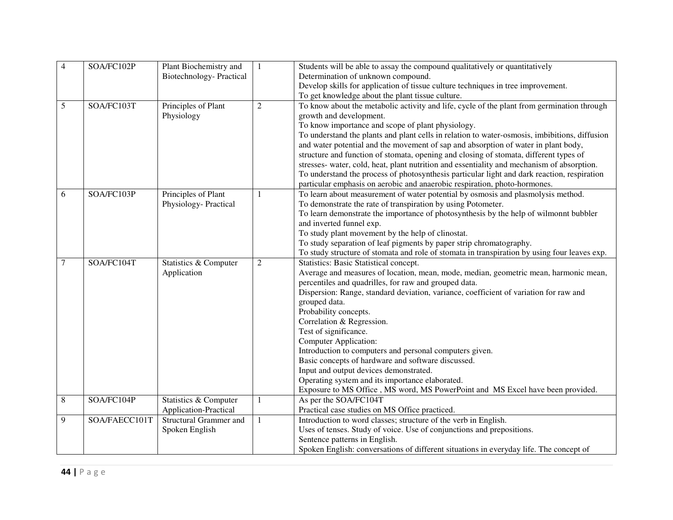| $\overline{4}$ | SOA/FC102P    | Plant Biochemistry and         | $\mathbf{1}$   | Students will be able to assay the compound qualitatively or quantitatively                                             |
|----------------|---------------|--------------------------------|----------------|-------------------------------------------------------------------------------------------------------------------------|
|                |               | <b>Biotechnology-Practical</b> |                | Determination of unknown compound.                                                                                      |
|                |               |                                |                | Develop skills for application of tissue culture techniques in tree improvement.                                        |
|                |               |                                |                | To get knowledge about the plant tissue culture.                                                                        |
| 5              | SOA/FC103T    | Principles of Plant            | $\overline{2}$ | To know about the metabolic activity and life, cycle of the plant from germination through                              |
|                |               | Physiology                     |                | growth and development.                                                                                                 |
|                |               |                                |                | To know importance and scope of plant physiology.                                                                       |
|                |               |                                |                | To understand the plants and plant cells in relation to water-osmosis, imbibitions, diffusion                           |
|                |               |                                |                | and water potential and the movement of sap and absorption of water in plant body,                                      |
|                |               |                                |                | structure and function of stomata, opening and closing of stomata, different types of                                   |
|                |               |                                |                | stresses- water, cold, heat, plant nutrition and essentiality and mechanism of absorption.                              |
|                |               |                                |                | To understand the process of photosynthesis particular light and dark reaction, respiration                             |
|                |               |                                |                | particular emphasis on aerobic and anaerobic respiration, photo-hormones.                                               |
| 6              | SOA/FC103P    | Principles of Plant            |                | To learn about measurement of water potential by osmosis and plasmolysis method.                                        |
|                |               | Physiology-Practical           |                | To demonstrate the rate of transpiration by using Potometer.                                                            |
|                |               |                                |                | To learn demonstrate the importance of photosynthesis by the help of wilmonnt bubbler                                   |
|                |               |                                |                | and inverted funnel exp.                                                                                                |
|                |               |                                |                | To study plant movement by the help of clinostat.                                                                       |
|                |               |                                |                | To study separation of leaf pigments by paper strip chromatography.                                                     |
|                |               |                                |                | To study structure of stomata and role of stomata in transpiration by using four leaves exp.                            |
| 7              | SOA/FC104T    | Statistics & Computer          | $\overline{c}$ | Statistics: Basic Statistical concept.                                                                                  |
|                |               |                                |                |                                                                                                                         |
|                |               | Application                    |                | Average and measures of location, mean, mode, median, geometric mean, harmonic mean,                                    |
|                |               |                                |                | percentiles and quadrilles, for raw and grouped data.                                                                   |
|                |               |                                |                | Dispersion: Range, standard deviation, variance, coefficient of variation for raw and                                   |
|                |               |                                |                | grouped data.                                                                                                           |
|                |               |                                |                | Probability concepts.                                                                                                   |
|                |               |                                |                | Correlation & Regression.                                                                                               |
|                |               |                                |                | Test of significance.                                                                                                   |
|                |               |                                |                | <b>Computer Application:</b>                                                                                            |
|                |               |                                |                | Introduction to computers and personal computers given.                                                                 |
|                |               |                                |                | Basic concepts of hardware and software discussed.                                                                      |
|                |               |                                |                | Input and output devices demonstrated.                                                                                  |
|                |               |                                |                | Operating system and its importance elaborated.                                                                         |
|                |               |                                |                | Exposure to MS Office, MS word, MS PowerPoint and MS Excel have been provided.                                          |
| 8              | SOA/FC104P    | Statistics & Computer          | 1              | As per the SOA/FC104T                                                                                                   |
|                |               | <b>Application-Practical</b>   |                | Practical case studies on MS Office practiced.                                                                          |
| 9              | SOA/FAECC101T | <b>Structural Grammer and</b>  | $\mathbf{1}$   | Introduction to word classes; structure of the verb in English.                                                         |
|                |               | Spoken English                 |                | Uses of tenses. Study of voice. Use of conjunctions and prepositions.                                                   |
|                |               |                                |                | Sentence patterns in English.<br>Spoken English: conversations of different situations in everyday life. The concept of |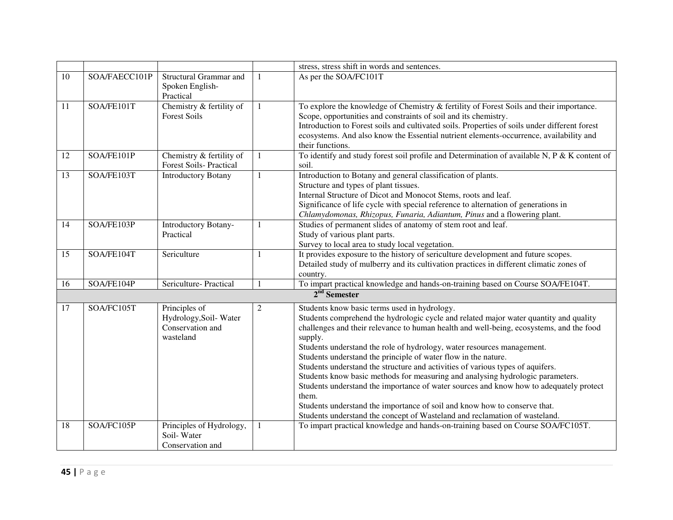|    |                          |                                                                         |   | stress, stress shift in words and sentences.                                                                                                                                                                                                                                                                                                                                                                                                                                                                                                                                                                                                                                                                                                                                                                              |
|----|--------------------------|-------------------------------------------------------------------------|---|---------------------------------------------------------------------------------------------------------------------------------------------------------------------------------------------------------------------------------------------------------------------------------------------------------------------------------------------------------------------------------------------------------------------------------------------------------------------------------------------------------------------------------------------------------------------------------------------------------------------------------------------------------------------------------------------------------------------------------------------------------------------------------------------------------------------------|
| 10 | SOA/FAECC101P            | Structural Grammar and<br>Spoken English-<br>Practical                  |   | As per the SOA/FC101T                                                                                                                                                                                                                                                                                                                                                                                                                                                                                                                                                                                                                                                                                                                                                                                                     |
| 11 | SOA/FE101T               | Chemistry & fertility of<br><b>Forest Soils</b>                         |   | To explore the knowledge of Chemistry & fertility of Forest Soils and their importance.<br>Scope, opportunities and constraints of soil and its chemistry.<br>Introduction to Forest soils and cultivated soils. Properties of soils under different forest<br>ecosystems. And also know the Essential nutrient elements-occurrence, availability and<br>their functions.                                                                                                                                                                                                                                                                                                                                                                                                                                                 |
| 12 | SOA/FE101P               | Chemistry & fertility of<br><b>Forest Soils-Practical</b>               | 1 | To identify and study forest soil profile and Determination of available N, P & K content of<br>soil.                                                                                                                                                                                                                                                                                                                                                                                                                                                                                                                                                                                                                                                                                                                     |
| 13 | SOA/FE103T               | <b>Introductory Botany</b>                                              |   | Introduction to Botany and general classification of plants.<br>Structure and types of plant tissues.<br>Internal Structure of Dicot and Monocot Stems, roots and leaf.<br>Significance of life cycle with special reference to alternation of generations in<br>Chlamydomonas, Rhizopus, Funaria, Adiantum, Pinus and a flowering plant.                                                                                                                                                                                                                                                                                                                                                                                                                                                                                 |
| 14 | SOA/FE103P               | <b>Introductory Botany-</b><br>Practical                                |   | Studies of permanent slides of anatomy of stem root and leaf.<br>Study of various plant parts.<br>Survey to local area to study local vegetation.                                                                                                                                                                                                                                                                                                                                                                                                                                                                                                                                                                                                                                                                         |
| 15 | SOA/FE104T               | Sericulture                                                             |   | It provides exposure to the history of sericulture development and future scopes.<br>Detailed study of mulberry and its cultivation practices in different climatic zones of<br>country.                                                                                                                                                                                                                                                                                                                                                                                                                                                                                                                                                                                                                                  |
| 16 | SOA/FE104P               | Sericulture-Practical                                                   |   | To impart practical knowledge and hands-on-training based on Course SOA/FE104T.                                                                                                                                                                                                                                                                                                                                                                                                                                                                                                                                                                                                                                                                                                                                           |
|    |                          |                                                                         |   | $2nd$ Semester                                                                                                                                                                                                                                                                                                                                                                                                                                                                                                                                                                                                                                                                                                                                                                                                            |
| 17 | SOA/FC105T<br>SOA/FC105P | Principles of<br>Hydrology, Soil-Water<br>Conservation and<br>wasteland | 2 | Students know basic terms used in hydrology.<br>Students comprehend the hydrologic cycle and related major water quantity and quality<br>challenges and their relevance to human health and well-being, ecosystems, and the food<br>supply.<br>Students understand the role of hydrology, water resources management.<br>Students understand the principle of water flow in the nature.<br>Students understand the structure and activities of various types of aquifers.<br>Students know basic methods for measuring and analysing hydrologic parameters.<br>Students understand the importance of water sources and know how to adequately protect<br>them.<br>Students understand the importance of soil and know how to conserve that.<br>Students understand the concept of Wasteland and reclamation of wasteland. |
| 18 |                          | Principles of Hydrology,<br>Soil-Water<br>Conservation and              |   | To impart practical knowledge and hands-on-training based on Course SOA/FC105T.                                                                                                                                                                                                                                                                                                                                                                                                                                                                                                                                                                                                                                                                                                                                           |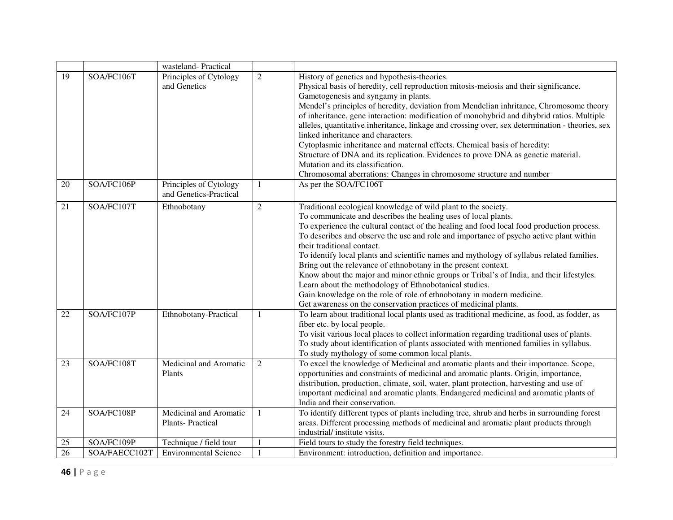|    |               | wasteland-Practical                               |                |                                                                                                                                                                                                                                                                                                                                                                                                                                                                                                                                                                                                                                                                                                                                                                                                                         |
|----|---------------|---------------------------------------------------|----------------|-------------------------------------------------------------------------------------------------------------------------------------------------------------------------------------------------------------------------------------------------------------------------------------------------------------------------------------------------------------------------------------------------------------------------------------------------------------------------------------------------------------------------------------------------------------------------------------------------------------------------------------------------------------------------------------------------------------------------------------------------------------------------------------------------------------------------|
| 19 | SOA/FC106T    | Principles of Cytology<br>and Genetics            | $\overline{c}$ | History of genetics and hypothesis-theories.<br>Physical basis of heredity, cell reproduction mitosis-meiosis and their significance.<br>Gametogenesis and syngamy in plants.<br>Mendel's principles of heredity, deviation from Mendelian inhritance, Chromosome theory<br>of inheritance, gene interaction: modification of monohybrid and dihybrid ratios. Multiple<br>alleles, quantitative inheritance, linkage and crossing over, sex determination - theories, sex<br>linked inheritance and characters.<br>Cytoplasmic inheritance and maternal effects. Chemical basis of heredity:<br>Structure of DNA and its replication. Evidences to prove DNA as genetic material.<br>Mutation and its classification.<br>Chromosomal aberrations: Changes in chromosome structure and number                            |
| 20 | SOA/FC106P    | Principles of Cytology<br>and Genetics-Practical  | 1              | As per the SOA/FC106T                                                                                                                                                                                                                                                                                                                                                                                                                                                                                                                                                                                                                                                                                                                                                                                                   |
| 21 | SOA/FC107T    | Ethnobotany                                       | $\overline{2}$ | Traditional ecological knowledge of wild plant to the society.<br>To communicate and describes the healing uses of local plants.<br>To experience the cultural contact of the healing and food local food production process.<br>To describes and observe the use and role and importance of psycho active plant within<br>their traditional contact.<br>To identify local plants and scientific names and mythology of syllabus related families.<br>Bring out the relevance of ethnobotany in the present context.<br>Know about the major and minor ethnic groups or Tribal's of India, and their lifestyles.<br>Learn about the methodology of Ethnobotanical studies.<br>Gain knowledge on the role of role of ethnobotany in modern medicine.<br>Get awareness on the conservation practices of medicinal plants. |
| 22 | SOA/FC107P    | Ethnobotany-Practical                             | $\mathbf{1}$   | To learn about traditional local plants used as traditional medicine, as food, as fodder, as<br>fiber etc. by local people.<br>To visit various local places to collect information regarding traditional uses of plants.<br>To study about identification of plants associated with mentioned families in syllabus.<br>To study mythology of some common local plants.                                                                                                                                                                                                                                                                                                                                                                                                                                                 |
| 23 | SOA/FC108T    | Medicinal and Aromatic<br>Plants                  | 2              | To excel the knowledge of Medicinal and aromatic plants and their importance. Scope,<br>opportunities and constraints of medicinal and aromatic plants. Origin, importance,<br>distribution, production, climate, soil, water, plant protection, harvesting and use of<br>important medicinal and aromatic plants. Endangered medicinal and aromatic plants of<br>India and their conservation.                                                                                                                                                                                                                                                                                                                                                                                                                         |
| 24 | SOA/FC108P    | Medicinal and Aromatic<br><b>Plants-Practical</b> | 1              | To identify different types of plants including tree, shrub and herbs in surrounding forest<br>areas. Different processing methods of medicinal and aromatic plant products through<br>industrial/ institute visits.                                                                                                                                                                                                                                                                                                                                                                                                                                                                                                                                                                                                    |
| 25 | SOA/FC109P    | Technique / field tour                            |                | Field tours to study the forestry field techniques.                                                                                                                                                                                                                                                                                                                                                                                                                                                                                                                                                                                                                                                                                                                                                                     |
| 26 | SOA/FAECC102T | <b>Environmental Science</b>                      |                | Environment: introduction, definition and importance.                                                                                                                                                                                                                                                                                                                                                                                                                                                                                                                                                                                                                                                                                                                                                                   |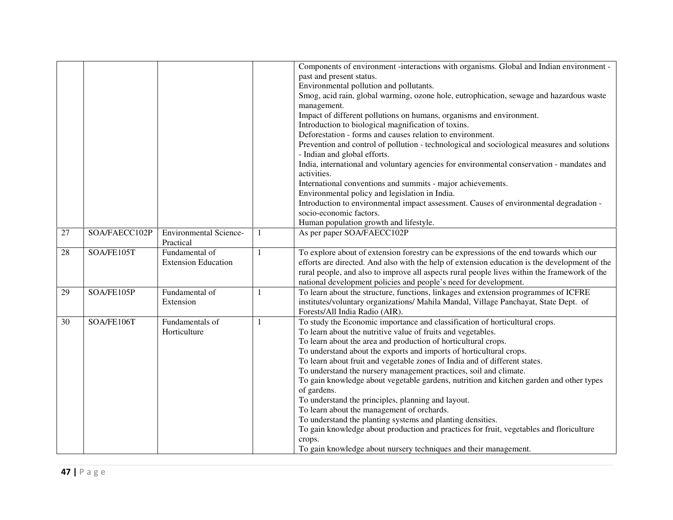|                 |               |                                            |   | Components of environment -interactions with organisms. Global and Indian environment -                                     |
|-----------------|---------------|--------------------------------------------|---|-----------------------------------------------------------------------------------------------------------------------------|
|                 |               |                                            |   | past and present status.                                                                                                    |
|                 |               |                                            |   | Environmental pollution and pollutants.                                                                                     |
|                 |               |                                            |   | Smog, acid rain, global warming, ozone hole, eutrophication, sewage and hazardous waste                                     |
|                 |               |                                            |   | management.                                                                                                                 |
|                 |               |                                            |   | Impact of different pollutions on humans, organisms and environment.                                                        |
|                 |               |                                            |   | Introduction to biological magnification of toxins.                                                                         |
|                 |               |                                            |   | Deforestation - forms and causes relation to environment.                                                                   |
|                 |               |                                            |   | Prevention and control of pollution - technological and sociological measures and solutions<br>- Indian and global efforts. |
|                 |               |                                            |   | India, international and voluntary agencies for environmental conservation - mandates and                                   |
|                 |               |                                            |   | activities.                                                                                                                 |
|                 |               |                                            |   | International conventions and summits - major achievements.                                                                 |
|                 |               |                                            |   | Environmental policy and legislation in India.                                                                              |
|                 |               |                                            |   | Introduction to environmental impact assessment. Causes of environmental degradation -                                      |
|                 |               |                                            |   | socio-economic factors.                                                                                                     |
|                 |               |                                            |   | Human population growth and lifestyle.                                                                                      |
| $\overline{27}$ | SOA/FAECC102P | <b>Environmental Science-</b><br>Practical |   | As per paper SOA/FAECC102P                                                                                                  |
| 28              | SOA/FE105T    | Fundamental of                             | 1 | To explore about of extension forestry can be expressions of the end towards which our                                      |
|                 |               | <b>Extension Education</b>                 |   | efforts are directed. And also with the help of extension education is the development of the                               |
|                 |               |                                            |   | rural people, and also to improve all aspects rural people lives within the framework of the                                |
|                 |               |                                            |   | national development policies and people's need for development.                                                            |
| 29              | SOA/FE105P    | Fundamental of                             |   | To learn about the structure, functions, linkages and extension programmes of ICFRE                                         |
|                 |               | Extension                                  |   | institutes/voluntary organizations/ Mahila Mandal, Village Panchayat, State Dept. of                                        |
|                 |               |                                            |   | Forests/All India Radio (AIR).                                                                                              |
| 30              | SOA/FE106T    | Fundamentals of                            | 1 | To study the Economic importance and classification of horticultural crops.                                                 |
|                 |               | Horticulture                               |   | To learn about the nutritive value of fruits and vegetables.                                                                |
|                 |               |                                            |   | To learn about the area and production of horticultural crops.                                                              |
|                 |               |                                            |   | To understand about the exports and imports of horticultural crops.                                                         |
|                 |               |                                            |   | To learn about fruit and vegetable zones of India and of different states.                                                  |
|                 |               |                                            |   | To understand the nursery management practices, soil and climate.                                                           |
|                 |               |                                            |   | To gain knowledge about vegetable gardens, nutrition and kitchen garden and other types                                     |
|                 |               |                                            |   | of gardens.                                                                                                                 |
|                 |               |                                            |   | To understand the principles, planning and layout.                                                                          |
|                 |               |                                            |   | To learn about the management of orchards.                                                                                  |
|                 |               |                                            |   | To understand the planting systems and planting densities.                                                                  |
|                 |               |                                            |   | To gain knowledge about production and practices for fruit, vegetables and floriculture                                     |
|                 |               |                                            |   | crops.                                                                                                                      |
|                 |               |                                            |   | To gain knowledge about nursery techniques and their management.                                                            |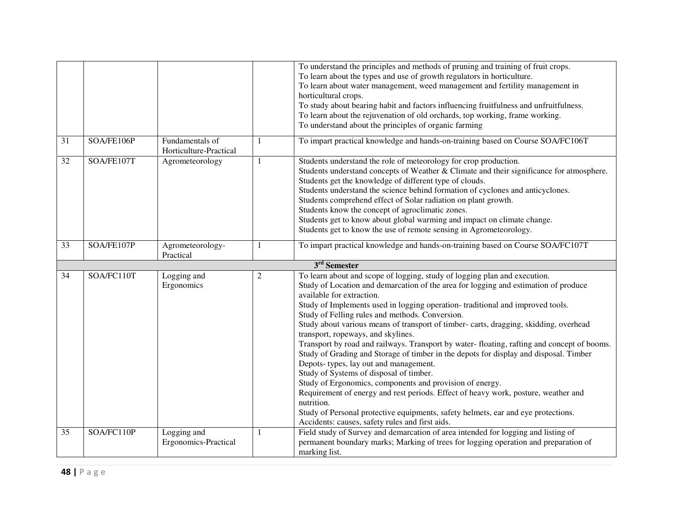|    |            |                                           |                | To understand the principles and methods of pruning and training of fruit crops.<br>To learn about the types and use of growth regulators in horticulture.<br>To learn about water management, weed management and fertility management in<br>horticultural crops.                                                                                                                                                                                                                                                                                                                                                                                                                                                                                                                                                                                                                                                                                                                                                                                                                                                                        |
|----|------------|-------------------------------------------|----------------|-------------------------------------------------------------------------------------------------------------------------------------------------------------------------------------------------------------------------------------------------------------------------------------------------------------------------------------------------------------------------------------------------------------------------------------------------------------------------------------------------------------------------------------------------------------------------------------------------------------------------------------------------------------------------------------------------------------------------------------------------------------------------------------------------------------------------------------------------------------------------------------------------------------------------------------------------------------------------------------------------------------------------------------------------------------------------------------------------------------------------------------------|
|    |            |                                           |                | To study about bearing habit and factors influencing fruitfulness and unfruitfulness.<br>To learn about the rejuvenation of old orchards, top working, frame working.<br>To understand about the principles of organic farming                                                                                                                                                                                                                                                                                                                                                                                                                                                                                                                                                                                                                                                                                                                                                                                                                                                                                                            |
| 31 | SOA/FE106P | Fundamentals of<br>Horticulture-Practical |                | To impart practical knowledge and hands-on-training based on Course SOA/FC106T                                                                                                                                                                                                                                                                                                                                                                                                                                                                                                                                                                                                                                                                                                                                                                                                                                                                                                                                                                                                                                                            |
| 32 | SOA/FE107T | Agrometeorology                           |                | Students understand the role of meteorology for crop production.<br>Students understand concepts of Weather & Climate and their significance for atmosphere.<br>Students get the knowledge of different type of clouds.<br>Students understand the science behind formation of cyclones and anticyclones.<br>Students comprehend effect of Solar radiation on plant growth.<br>Students know the concept of agroclimatic zones.<br>Students get to know about global warming and impact on climate change.<br>Students get to know the use of remote sensing in Agrometeorology.                                                                                                                                                                                                                                                                                                                                                                                                                                                                                                                                                          |
| 33 | SOA/FE107P | Agrometeorology-<br>Practical             |                | To impart practical knowledge and hands-on-training based on Course SOA/FC107T                                                                                                                                                                                                                                                                                                                                                                                                                                                                                                                                                                                                                                                                                                                                                                                                                                                                                                                                                                                                                                                            |
|    |            |                                           |                | 3 <sup>rd</sup> Semester                                                                                                                                                                                                                                                                                                                                                                                                                                                                                                                                                                                                                                                                                                                                                                                                                                                                                                                                                                                                                                                                                                                  |
| 34 | SOA/FC110T | Logging and<br>Ergonomics<br>Logging and  | $\overline{c}$ | To learn about and scope of logging, study of logging plan and execution.<br>Study of Location and demarcation of the area for logging and estimation of produce<br>available for extraction.<br>Study of Implements used in logging operation-traditional and improved tools.<br>Study of Felling rules and methods. Conversion.<br>Study about various means of transport of timber- carts, dragging, skidding, overhead<br>transport, ropeways, and skylines.<br>Transport by road and railways. Transport by water-floating, rafting and concept of booms.<br>Study of Grading and Storage of timber in the depots for display and disposal. Timber<br>Depots- types, lay out and management.<br>Study of Systems of disposal of timber.<br>Study of Ergonomics, components and provision of energy.<br>Requirement of energy and rest periods. Effect of heavy work, posture, weather and<br>nutrition.<br>Study of Personal protective equipments, safety helmets, ear and eye protections.<br>Accidents: causes, safety rules and first aids.<br>Field study of Survey and demarcation of area intended for logging and listing of |
| 35 | SOA/FC110P |                                           |                |                                                                                                                                                                                                                                                                                                                                                                                                                                                                                                                                                                                                                                                                                                                                                                                                                                                                                                                                                                                                                                                                                                                                           |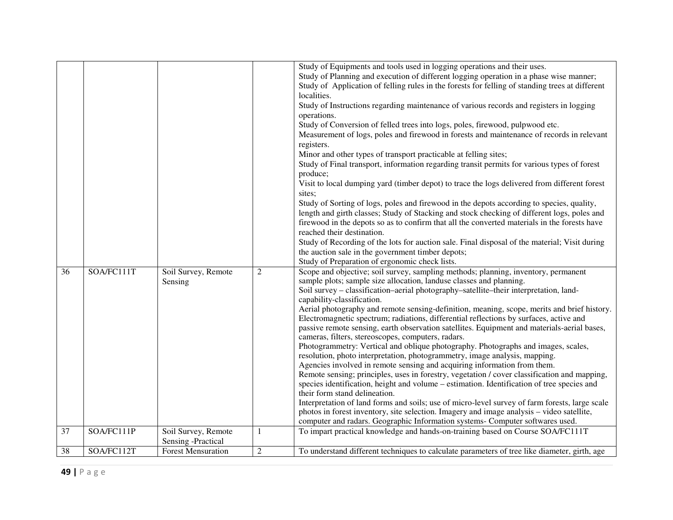|    |            |                                           |                | Study of Equipments and tools used in logging operations and their uses.                                |
|----|------------|-------------------------------------------|----------------|---------------------------------------------------------------------------------------------------------|
|    |            |                                           |                | Study of Planning and execution of different logging operation in a phase wise manner;                  |
|    |            |                                           |                | Study of Application of felling rules in the forests for felling of standing trees at different         |
|    |            |                                           |                | localities.                                                                                             |
|    |            |                                           |                | Study of Instructions regarding maintenance of various records and registers in logging                 |
|    |            |                                           |                | operations.                                                                                             |
|    |            |                                           |                | Study of Conversion of felled trees into logs, poles, firewood, pulpwood etc.                           |
|    |            |                                           |                | Measurement of logs, poles and firewood in forests and maintenance of records in relevant               |
|    |            |                                           |                | registers.                                                                                              |
|    |            |                                           |                | Minor and other types of transport practicable at felling sites;                                        |
|    |            |                                           |                | Study of Final transport, information regarding transit permits for various types of forest<br>produce; |
|    |            |                                           |                | Visit to local dumping yard (timber depot) to trace the logs delivered from different forest            |
|    |            |                                           |                | sites;                                                                                                  |
|    |            |                                           |                | Study of Sorting of logs, poles and firewood in the depots according to species, quality,               |
|    |            |                                           |                | length and girth classes; Study of Stacking and stock checking of different logs, poles and             |
|    |            |                                           |                | firewood in the depots so as to confirm that all the converted materials in the forests have            |
|    |            |                                           |                | reached their destination.                                                                              |
|    |            |                                           |                | Study of Recording of the lots for auction sale. Final disposal of the material; Visit during           |
|    |            |                                           |                | the auction sale in the government timber depots;                                                       |
|    |            |                                           |                | Study of Preparation of ergonomic check lists.                                                          |
| 36 | SOA/FC111T | Soil Survey, Remote                       | 2              | Scope and objective; soil survey, sampling methods; planning, inventory, permanent                      |
|    |            | Sensing                                   |                | sample plots; sample size allocation, landuse classes and planning.                                     |
|    |            |                                           |                | Soil survey – classification–aerial photography–satellite–their interpretation, land-                   |
|    |            |                                           |                | capability-classification.                                                                              |
|    |            |                                           |                | Aerial photography and remote sensing-definition, meaning, scope, merits and brief history.             |
|    |            |                                           |                | Electromagnetic spectrum; radiations, differential reflections by surfaces, active and                  |
|    |            |                                           |                | passive remote sensing, earth observation satellites. Equipment and materials-aerial bases,             |
|    |            |                                           |                | cameras, filters, stereoscopes, computers, radars.                                                      |
|    |            |                                           |                | Photogrammetry: Vertical and oblique photography. Photographs and images, scales,                       |
|    |            |                                           |                | resolution, photo interpretation, photogrammetry, image analysis, mapping.                              |
|    |            |                                           |                | Agencies involved in remote sensing and acquiring information from them.                                |
|    |            |                                           |                | Remote sensing; principles, uses in forestry, vegetation / cover classification and mapping,            |
|    |            |                                           |                | species identification, height and volume – estimation. Identification of tree species and              |
|    |            |                                           |                | their form stand delineation.                                                                           |
|    |            |                                           |                | Interpretation of land forms and soils; use of micro-level survey of farm forests, large scale          |
|    |            |                                           |                | photos in forest inventory, site selection. Imagery and image analysis - video satellite,               |
|    |            |                                           |                | computer and radars. Geographic Information systems- Computer softwares used.                           |
| 37 | SOA/FC111P | Soil Survey, Remote<br>Sensing -Practical |                | To impart practical knowledge and hands-on-training based on Course SOA/FC111T                          |
| 38 | SOA/FC112T | <b>Forest Mensuration</b>                 | $\overline{c}$ | To understand different techniques to calculate parameters of tree like diameter, girth, age            |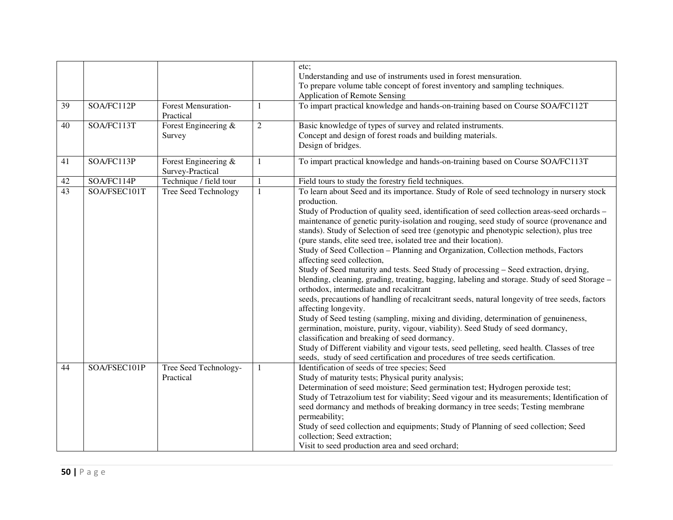| 39<br>40<br>41 | SOA/FC112P<br>SOA/FC113T<br>SOA/FC113P | <b>Forest Mensuration-</b><br>Practical<br>Forest Engineering &<br>Survey<br>Forest Engineering & | $\mathbf{1}$<br>$\overline{2}$<br>$\mathbf{1}$ | etc;<br>Understanding and use of instruments used in forest mensuration.<br>To prepare volume table concept of forest inventory and sampling techniques.<br>Application of Remote Sensing<br>To impart practical knowledge and hands-on-training based on Course SOA/FC112T<br>Basic knowledge of types of survey and related instruments.<br>Concept and design of forest roads and building materials.<br>Design of bridges.<br>To impart practical knowledge and hands-on-training based on Course SOA/FC113T                                                                                                                                                                                                                                                                                                                                                                                                                                                                                                                                                                                                                                                                                                                                                                                                                                                     |
|----------------|----------------------------------------|---------------------------------------------------------------------------------------------------|------------------------------------------------|----------------------------------------------------------------------------------------------------------------------------------------------------------------------------------------------------------------------------------------------------------------------------------------------------------------------------------------------------------------------------------------------------------------------------------------------------------------------------------------------------------------------------------------------------------------------------------------------------------------------------------------------------------------------------------------------------------------------------------------------------------------------------------------------------------------------------------------------------------------------------------------------------------------------------------------------------------------------------------------------------------------------------------------------------------------------------------------------------------------------------------------------------------------------------------------------------------------------------------------------------------------------------------------------------------------------------------------------------------------------|
|                |                                        | Survey-Practical                                                                                  |                                                |                                                                                                                                                                                                                                                                                                                                                                                                                                                                                                                                                                                                                                                                                                                                                                                                                                                                                                                                                                                                                                                                                                                                                                                                                                                                                                                                                                      |
| 42             | SOA/FC114P                             | Technique / field tour                                                                            | $\mathbf{1}$                                   | Field tours to study the forestry field techniques.                                                                                                                                                                                                                                                                                                                                                                                                                                                                                                                                                                                                                                                                                                                                                                                                                                                                                                                                                                                                                                                                                                                                                                                                                                                                                                                  |
| 43             | SOA/FSEC101T                           | Tree Seed Technology                                                                              | $\mathbf{1}$                                   | To learn about Seed and its importance. Study of Role of seed technology in nursery stock<br>production.<br>Study of Production of quality seed, identification of seed collection areas-seed orchards -<br>maintenance of genetic purity-isolation and rouging, seed study of source (provenance and<br>stands). Study of Selection of seed tree (genotypic and phenotypic selection), plus tree<br>(pure stands, elite seed tree, isolated tree and their location).<br>Study of Seed Collection - Planning and Organization, Collection methods, Factors<br>affecting seed collection,<br>Study of Seed maturity and tests. Seed Study of processing - Seed extraction, drying,<br>blending, cleaning, grading, treating, bagging, labeling and storage. Study of seed Storage -<br>orthodox, intermediate and recalcitrant<br>seeds, precautions of handling of recalcitrant seeds, natural longevity of tree seeds, factors<br>affecting longevity.<br>Study of Seed testing (sampling, mixing and dividing, determination of genuineness,<br>germination, moisture, purity, vigour, viability). Seed Study of seed dormancy,<br>classification and breaking of seed dormancy.<br>Study of Different viability and vigour tests, seed pelleting, seed health. Classes of tree<br>seeds, study of seed certification and procedures of tree seeds certification. |
| 44             | SOA/FSEC101P                           | Tree Seed Technology-<br>Practical                                                                | $\mathbf{1}$                                   | Identification of seeds of tree species; Seed<br>Study of maturity tests; Physical purity analysis;<br>Determination of seed moisture; Seed germination test; Hydrogen peroxide test;<br>Study of Tetrazolium test for viability; Seed vigour and its measurements; Identification of<br>seed dormancy and methods of breaking dormancy in tree seeds; Testing membrane<br>permeability;<br>Study of seed collection and equipments; Study of Planning of seed collection; Seed<br>collection; Seed extraction;<br>Visit to seed production area and seed orchard;                                                                                                                                                                                                                                                                                                                                                                                                                                                                                                                                                                                                                                                                                                                                                                                                   |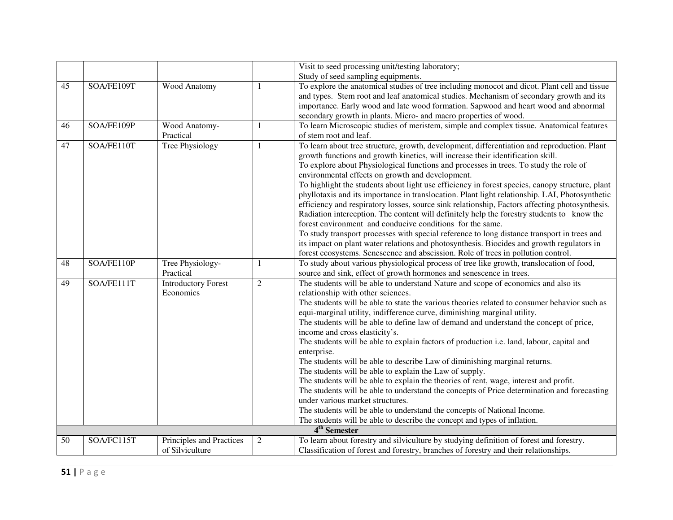|    |            |                                             |                | Visit to seed processing unit/testing laboratory;                                                                                                                                                                                                                                                                                                                                                                                                                                                                                                                                                                                                                                                                                                                                                                                                                                                                                                                                                                                                                              |
|----|------------|---------------------------------------------|----------------|--------------------------------------------------------------------------------------------------------------------------------------------------------------------------------------------------------------------------------------------------------------------------------------------------------------------------------------------------------------------------------------------------------------------------------------------------------------------------------------------------------------------------------------------------------------------------------------------------------------------------------------------------------------------------------------------------------------------------------------------------------------------------------------------------------------------------------------------------------------------------------------------------------------------------------------------------------------------------------------------------------------------------------------------------------------------------------|
|    |            |                                             |                | Study of seed sampling equipments.                                                                                                                                                                                                                                                                                                                                                                                                                                                                                                                                                                                                                                                                                                                                                                                                                                                                                                                                                                                                                                             |
| 45 | SOA/FE109T | Wood Anatomy                                | 1              | To explore the anatomical studies of tree including monocot and dicot. Plant cell and tissue<br>and types. Stem root and leaf anatomical studies. Mechanism of secondary growth and its<br>importance. Early wood and late wood formation. Sapwood and heart wood and abnormal<br>secondary growth in plants. Micro- and macro properties of wood.                                                                                                                                                                                                                                                                                                                                                                                                                                                                                                                                                                                                                                                                                                                             |
| 46 | SOA/FE109P | Wood Anatomy-<br>Practical                  | 1              | To learn Microscopic studies of meristem, simple and complex tissue. Anatomical features<br>of stem root and leaf.                                                                                                                                                                                                                                                                                                                                                                                                                                                                                                                                                                                                                                                                                                                                                                                                                                                                                                                                                             |
| 47 | SOA/FE110T | Tree Physiology                             | 1              | To learn about tree structure, growth, development, differentiation and reproduction. Plant<br>growth functions and growth kinetics, will increase their identification skill.<br>To explore about Physiological functions and processes in trees. To study the role of<br>environmental effects on growth and development.<br>To highlight the students about light use efficiency in forest species, canopy structure, plant<br>phyllotaxis and its importance in translocation. Plant light relationship. LAI, Photosynthetic<br>efficiency and respiratory losses, source sink relationship, Factors affecting photosynthesis.<br>Radiation interception. The content will definitely help the forestry students to know the<br>forest environment and conducive conditions for the same.<br>To study transport processes with special reference to long distance transport in trees and<br>its impact on plant water relations and photosynthesis. Biocides and growth regulators in<br>forest ecosystems. Senescence and abscission. Role of trees in pollution control. |
| 48 | SOA/FE110P | Tree Physiology-<br>Practical               | 1              | To study about various physiological process of tree like growth, translocation of food,<br>source and sink, effect of growth hormones and senescence in trees.                                                                                                                                                                                                                                                                                                                                                                                                                                                                                                                                                                                                                                                                                                                                                                                                                                                                                                                |
| 49 | SOA/FE111T | <b>Introductory Forest</b><br>Economics     | $\overline{2}$ | The students will be able to understand Nature and scope of economics and also its<br>relationship with other sciences.<br>The students will be able to state the various theories related to consumer behavior such as<br>equi-marginal utility, indifference curve, diminishing marginal utility.<br>The students will be able to define law of demand and understand the concept of price,<br>income and cross elasticity's.<br>The students will be able to explain factors of production i.e. land, labour, capital and<br>enterprise.<br>The students will be able to describe Law of diminishing marginal returns.<br>The students will be able to explain the Law of supply.<br>The students will be able to explain the theories of rent, wage, interest and profit.<br>The students will be able to understand the concepts of Price determination and forecasting<br>under various market structures.<br>The students will be able to understand the concepts of National Income.<br>The students will be able to describe the concept and types of inflation.      |
|    |            |                                             |                | 4 <sup>th</sup> Semester                                                                                                                                                                                                                                                                                                                                                                                                                                                                                                                                                                                                                                                                                                                                                                                                                                                                                                                                                                                                                                                       |
| 50 | SOA/FC115T | Principles and Practices<br>of Silviculture | $\mathbf{2}$   | To learn about forestry and silviculture by studying definition of forest and forestry.<br>Classification of forest and forestry, branches of forestry and their relationships.                                                                                                                                                                                                                                                                                                                                                                                                                                                                                                                                                                                                                                                                                                                                                                                                                                                                                                |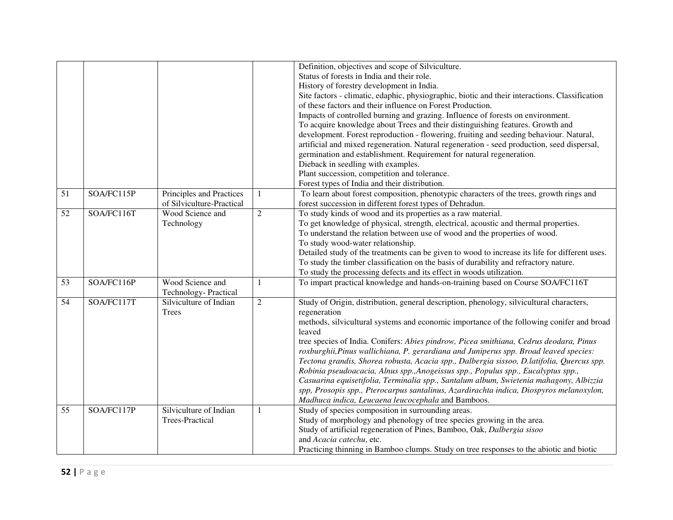|    |            |                           |                | Definition, objectives and scope of Silviculture.                                                                                                                              |
|----|------------|---------------------------|----------------|--------------------------------------------------------------------------------------------------------------------------------------------------------------------------------|
|    |            |                           |                | Status of forests in India and their role.                                                                                                                                     |
|    |            |                           |                | History of forestry development in India.                                                                                                                                      |
|    |            |                           |                | Site factors - climatic, edaphic, physiographic, biotic and their interactions. Classification                                                                                 |
|    |            |                           |                | of these factors and their influence on Forest Production.                                                                                                                     |
|    |            |                           |                | Impacts of controlled burning and grazing. Influence of forests on environment.                                                                                                |
|    |            |                           |                | To acquire knowledge about Trees and their distinguishing features. Growth and                                                                                                 |
|    |            |                           |                | development. Forest reproduction - flowering, fruiting and seeding behaviour. Natural,                                                                                         |
|    |            |                           |                | artificial and mixed regeneration. Natural regeneration - seed production, seed dispersal,                                                                                     |
|    |            |                           |                | germination and establishment. Requirement for natural regeneration.                                                                                                           |
|    |            |                           |                | Dieback in seedling with examples.                                                                                                                                             |
|    |            |                           |                | Plant succession, competition and tolerance.                                                                                                                                   |
|    |            |                           |                | Forest types of India and their distribution.                                                                                                                                  |
| 51 | SOA/FC115P | Principles and Practices  | $\mathbf{1}$   | To learn about forest composition, phenotypic characters of the trees, growth rings and                                                                                        |
|    |            | of Silviculture-Practical |                | forest succession in different forest types of Dehradun.                                                                                                                       |
| 52 | SOA/FC116T | Wood Science and          | $\overline{2}$ | To study kinds of wood and its properties as a raw material.                                                                                                                   |
|    |            | Technology                |                | To get knowledge of physical, strength, electrical, acoustic and thermal properties.                                                                                           |
|    |            |                           |                | To understand the relation between use of wood and the properties of wood.                                                                                                     |
|    |            |                           |                | To study wood-water relationship.                                                                                                                                              |
|    |            |                           |                | Detailed study of the treatments can be given to wood to increase its life for different uses.                                                                                 |
|    |            |                           |                | To study the timber classification on the basis of durability and refractory nature.                                                                                           |
|    |            |                           |                | To study the processing defects and its effect in woods utilization.                                                                                                           |
| 53 | SOA/FC116P | Wood Science and          | 1              | To impart practical knowledge and hands-on-training based on Course SOA/FC116T                                                                                                 |
|    |            | Technology-Practical      |                |                                                                                                                                                                                |
| 54 | SOA/FC117T | Silviculture of Indian    | $\overline{2}$ | Study of Origin, distribution, general description, phenology, silvicultural characters,                                                                                       |
|    |            | Trees                     |                | regeneration                                                                                                                                                                   |
|    |            |                           |                | methods, silvicultural systems and economic importance of the following conifer and broad                                                                                      |
|    |            |                           |                | leaved                                                                                                                                                                         |
|    |            |                           |                | tree species of India. Conifers: Abies pindrow, Picea smithiana, Cedrus deodara, Pinus                                                                                         |
|    |            |                           |                | roxburghii, Pinus wallichiana, P. gerardiana and Juniperus spp. Broad leaved species:                                                                                          |
|    |            |                           |                | Tectona grandis, Shorea robusta, Acacia spp., Dalbergia sissoo, D.latifolia, Quercus spp.<br>Robinia pseudoacacia, Alnus spp., Anogeissus spp., Populus spp., Eucalyptus spp., |
|    |            |                           |                | Casuarina equisetifolia, Terminalia spp., Santalum album, Swietenia mahagony, Albizzia                                                                                         |
|    |            |                           |                | spp, Prosopis spp., Pterocarpus santalinus, Azardirachta indica, Diospyros melanoxylon,                                                                                        |
|    |            |                           |                | Madhuca indica, Leucaena leucocephala and Bamboos.                                                                                                                             |
| 55 | SOA/FC117P | Silviculture of Indian    | 1              | Study of species composition in surrounding areas.                                                                                                                             |
|    |            | <b>Trees-Practical</b>    |                | Study of morphology and phenology of tree species growing in the area.                                                                                                         |
|    |            |                           |                | Study of artificial regeneration of Pines, Bamboo, Oak, Dalbergia sisoo                                                                                                        |
|    |            |                           |                | and Acacia catechu, etc.                                                                                                                                                       |
|    |            |                           |                |                                                                                                                                                                                |
|    |            |                           |                | Practicing thinning in Bamboo clumps. Study on tree responses to the abiotic and biotic                                                                                        |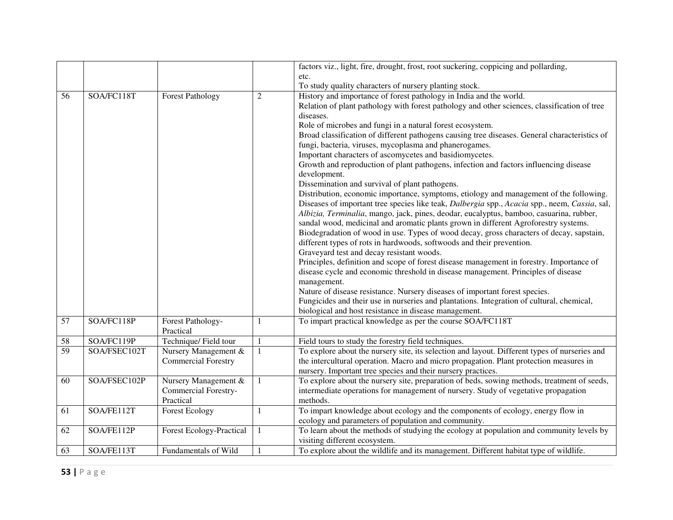|                 |                                 |                             |                | factors viz., light, fire, drought, frost, root suckering, coppicing and pollarding,                                   |
|-----------------|---------------------------------|-----------------------------|----------------|------------------------------------------------------------------------------------------------------------------------|
|                 |                                 |                             |                | etc.                                                                                                                   |
|                 |                                 |                             |                | To study quality characters of nursery planting stock.                                                                 |
| 56              | SOA/FC118T                      | <b>Forest Pathology</b>     | $\overline{2}$ | History and importance of forest pathology in India and the world.                                                     |
|                 |                                 |                             |                | Relation of plant pathology with forest pathology and other sciences, classification of tree                           |
|                 |                                 |                             |                | diseases.                                                                                                              |
|                 |                                 |                             |                | Role of microbes and fungi in a natural forest ecosystem.                                                              |
|                 |                                 |                             |                | Broad classification of different pathogens causing tree diseases. General characteristics of                          |
|                 |                                 |                             |                | fungi, bacteria, viruses, mycoplasma and phanerogames.                                                                 |
|                 |                                 |                             |                | Important characters of ascomycetes and basidiomycetes.                                                                |
|                 |                                 |                             |                | Growth and reproduction of plant pathogens, infection and factors influencing disease                                  |
|                 |                                 |                             |                | development.                                                                                                           |
|                 |                                 |                             |                | Dissemination and survival of plant pathogens.                                                                         |
|                 |                                 |                             |                | Distribution, economic importance, symptoms, etiology and management of the following.                                 |
|                 |                                 |                             |                | Diseases of important tree species like teak, Dalbergia spp., Acacia spp., neem, Cassia, sal,                          |
|                 |                                 |                             |                | Albizia, Terminalia, mango, jack, pines, deodar, eucalyptus, bamboo, casuarina, rubber,                                |
|                 |                                 |                             |                | sandal wood, medicinal and aromatic plants grown in different Agroforestry systems.                                    |
|                 |                                 |                             |                | Biodegradation of wood in use. Types of wood decay, gross characters of decay, sapstain,                               |
|                 |                                 |                             |                | different types of rots in hardwoods, softwoods and their prevention.                                                  |
|                 |                                 |                             |                | Graveyard test and decay resistant woods.                                                                              |
|                 |                                 |                             |                | Principles, definition and scope of forest disease management in forestry. Importance of                               |
|                 |                                 |                             |                | disease cycle and economic threshold in disease management. Principles of disease                                      |
|                 |                                 |                             |                | management.                                                                                                            |
|                 |                                 |                             |                | Nature of disease resistance. Nursery diseases of important forest species.                                            |
|                 |                                 |                             |                | Fungicides and their use in nurseries and plantations. Integration of cultural, chemical,                              |
|                 |                                 |                             |                | biological and host resistance in disease management.                                                                  |
| $\overline{57}$ | SOA/FC118P                      | Forest Pathology-           | 1              | To impart practical knowledge as per the course SOA/FC118T                                                             |
|                 |                                 | Practical                   |                |                                                                                                                        |
| 58              | SOA/FC119P                      | Technique/Field tour        | 1              | Field tours to study the forestry field techniques.                                                                    |
| 59              | SOA/FSEC102T                    | Nursery Management &        | $\mathbf{1}$   | To explore about the nursery site, its selection and layout. Different types of nurseries and                          |
|                 |                                 | <b>Commercial Forestry</b>  |                | the intercultural operation. Macro and micro propagation. Plant protection measures in                                 |
|                 |                                 |                             |                | nursery. Important tree species and their nursery practices.                                                           |
| 60              | SOA/FSEC102P                    | Nursery Management &        | $\mathbf{1}$   | To explore about the nursery site, preparation of beds, sowing methods, treatment of seeds,                            |
|                 |                                 | <b>Commercial Forestry-</b> |                | intermediate operations for management of nursery. Study of vegetative propagation                                     |
|                 |                                 | Practical                   |                | methods.                                                                                                               |
| 61              | $\overline{\text{SOA/FE11}}$ 2T | <b>Forest Ecology</b>       | $\mathbf{1}$   | To impart knowledge about ecology and the components of ecology, energy flow in                                        |
|                 | SOA/FE112P                      |                             |                | ecology and parameters of population and community.                                                                    |
| 62              |                                 | Forest Ecology-Practical    | $\mathbf{1}$   | To learn about the methods of studying the ecology at population and community levels by                               |
|                 | SOA/FE113T                      | Fundamentals of Wild        |                | visiting different ecosystem.<br>To explore about the wildlife and its management. Different habitat type of wildlife. |
| 63              |                                 |                             |                |                                                                                                                        |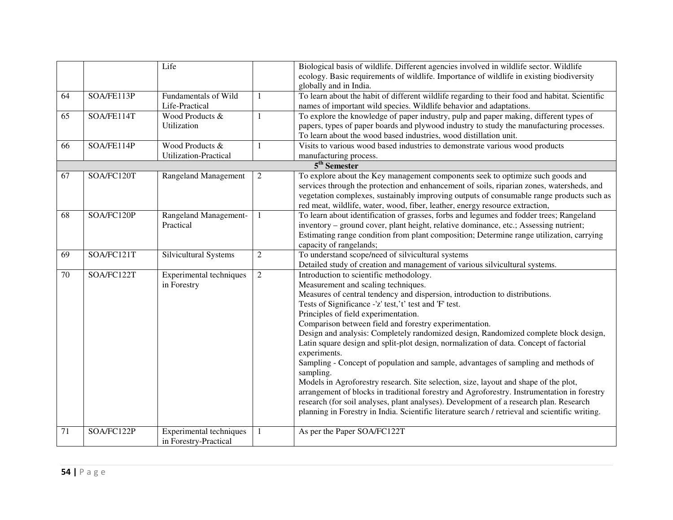| ecology. Basic requirements of wildlife. Importance of wildlife in existing biodiversity<br>globally and in India.<br>To learn about the habit of different wildlife regarding to their food and habitat. Scientific<br>SOA/FE113P<br>Fundamentals of Wild<br>64<br>$\mathbf{1}$<br>Life-Practical<br>names of important wild species. Wildlife behavior and adaptations.<br>SOA/FE114T<br>Wood Products &<br>$\mathbf{1}$<br>To explore the knowledge of paper industry, pulp and paper making, different types of<br>65<br>papers, types of paper boards and plywood industry to study the manufacturing processes.<br>Utilization<br>To learn about the wood based industries, wood distillation unit.<br>Visits to various wood based industries to demonstrate various wood products<br>SOA/FE114P<br>Wood Products &<br>66<br>1<br>Utilization-Practical<br>manufacturing process.<br>5 <sup>th</sup> Semester<br>To explore about the Key management components seek to optimize such goods and<br>SOA/FC120T<br>67<br><b>Rangeland Management</b><br>2<br>services through the protection and enhancement of soils, riparian zones, watersheds, and<br>vegetation complexes, sustainably improving outputs of consumable range products such as<br>red meat, wildlife, water, wood, fiber, leather, energy resource extraction,<br>To learn about identification of grasses, forbs and legumes and fodder trees; Rangeland<br>SOA/FC120P<br>Rangeland Management-<br>68<br>$\mathbf{1}$<br>inventory – ground cover, plant height, relative dominance, etc.; Assessing nutrient;<br>Practical<br>Estimating range condition from plant composition; Determine range utilization, carrying<br>capacity of rangelands;<br>To understand scope/need of silvicultural systems<br>SOA/FC121T<br>Silvicultural Systems<br>$\overline{2}$<br>69<br>Detailed study of creation and management of various silvicultural systems.<br>70<br>SOA/FC122T<br>Experimental techniques<br>$\overline{2}$<br>Introduction to scientific methodology.<br>in Forestry<br>Measurement and scaling techniques.<br>Measures of central tendency and dispersion, introduction to distributions.<br>Tests of Significance -'z' test,'t' test and 'F' test.<br>Principles of field experimentation.<br>Comparison between field and forestry experimentation.<br>Design and analysis: Completely randomized design, Randomized complete block design,<br>Latin square design and split-plot design, normalization of data. Concept of factorial<br>experiments.<br>Sampling - Concept of population and sample, advantages of sampling and methods of<br>sampling.<br>Models in Agroforestry research. Site selection, size, layout and shape of the plot,<br>arrangement of blocks in traditional forestry and Agroforestry. Instrumentation in forestry<br>research (for soil analyses, plant analyses). Development of a research plan. Research<br>planning in Forestry in India. Scientific literature search / retrieval and scientific writing.<br>SOA/FC122P<br>Experimental techniques<br>As per the Paper SOA/FC122T<br>71<br>1 |  | Life | Biological basis of wildlife. Different agencies involved in wildlife sector. Wildlife |
|--------------------------------------------------------------------------------------------------------------------------------------------------------------------------------------------------------------------------------------------------------------------------------------------------------------------------------------------------------------------------------------------------------------------------------------------------------------------------------------------------------------------------------------------------------------------------------------------------------------------------------------------------------------------------------------------------------------------------------------------------------------------------------------------------------------------------------------------------------------------------------------------------------------------------------------------------------------------------------------------------------------------------------------------------------------------------------------------------------------------------------------------------------------------------------------------------------------------------------------------------------------------------------------------------------------------------------------------------------------------------------------------------------------------------------------------------------------------------------------------------------------------------------------------------------------------------------------------------------------------------------------------------------------------------------------------------------------------------------------------------------------------------------------------------------------------------------------------------------------------------------------------------------------------------------------------------------------------------------------------------------------------------------------------------------------------------------------------------------------------------------------------------------------------------------------------------------------------------------------------------------------------------------------------------------------------------------------------------------------------------------------------------------------------------------------------------------------------------------------------------------------------------------------------------------------------------------------------------------------------------------------------------------------------------------------------------------------------------------------------------------------------------------------------------------------------------------------------------------------------------------------------------------------------------------------------------------------------------------------------------------------------------------------------------------------------------------------------------------------------------|--|------|----------------------------------------------------------------------------------------|
|                                                                                                                                                                                                                                                                                                                                                                                                                                                                                                                                                                                                                                                                                                                                                                                                                                                                                                                                                                                                                                                                                                                                                                                                                                                                                                                                                                                                                                                                                                                                                                                                                                                                                                                                                                                                                                                                                                                                                                                                                                                                                                                                                                                                                                                                                                                                                                                                                                                                                                                                                                                                                                                                                                                                                                                                                                                                                                                                                                                                                                                                                                                          |  |      |                                                                                        |
|                                                                                                                                                                                                                                                                                                                                                                                                                                                                                                                                                                                                                                                                                                                                                                                                                                                                                                                                                                                                                                                                                                                                                                                                                                                                                                                                                                                                                                                                                                                                                                                                                                                                                                                                                                                                                                                                                                                                                                                                                                                                                                                                                                                                                                                                                                                                                                                                                                                                                                                                                                                                                                                                                                                                                                                                                                                                                                                                                                                                                                                                                                                          |  |      |                                                                                        |
|                                                                                                                                                                                                                                                                                                                                                                                                                                                                                                                                                                                                                                                                                                                                                                                                                                                                                                                                                                                                                                                                                                                                                                                                                                                                                                                                                                                                                                                                                                                                                                                                                                                                                                                                                                                                                                                                                                                                                                                                                                                                                                                                                                                                                                                                                                                                                                                                                                                                                                                                                                                                                                                                                                                                                                                                                                                                                                                                                                                                                                                                                                                          |  |      |                                                                                        |
|                                                                                                                                                                                                                                                                                                                                                                                                                                                                                                                                                                                                                                                                                                                                                                                                                                                                                                                                                                                                                                                                                                                                                                                                                                                                                                                                                                                                                                                                                                                                                                                                                                                                                                                                                                                                                                                                                                                                                                                                                                                                                                                                                                                                                                                                                                                                                                                                                                                                                                                                                                                                                                                                                                                                                                                                                                                                                                                                                                                                                                                                                                                          |  |      |                                                                                        |
|                                                                                                                                                                                                                                                                                                                                                                                                                                                                                                                                                                                                                                                                                                                                                                                                                                                                                                                                                                                                                                                                                                                                                                                                                                                                                                                                                                                                                                                                                                                                                                                                                                                                                                                                                                                                                                                                                                                                                                                                                                                                                                                                                                                                                                                                                                                                                                                                                                                                                                                                                                                                                                                                                                                                                                                                                                                                                                                                                                                                                                                                                                                          |  |      |                                                                                        |
|                                                                                                                                                                                                                                                                                                                                                                                                                                                                                                                                                                                                                                                                                                                                                                                                                                                                                                                                                                                                                                                                                                                                                                                                                                                                                                                                                                                                                                                                                                                                                                                                                                                                                                                                                                                                                                                                                                                                                                                                                                                                                                                                                                                                                                                                                                                                                                                                                                                                                                                                                                                                                                                                                                                                                                                                                                                                                                                                                                                                                                                                                                                          |  |      |                                                                                        |
|                                                                                                                                                                                                                                                                                                                                                                                                                                                                                                                                                                                                                                                                                                                                                                                                                                                                                                                                                                                                                                                                                                                                                                                                                                                                                                                                                                                                                                                                                                                                                                                                                                                                                                                                                                                                                                                                                                                                                                                                                                                                                                                                                                                                                                                                                                                                                                                                                                                                                                                                                                                                                                                                                                                                                                                                                                                                                                                                                                                                                                                                                                                          |  |      |                                                                                        |
|                                                                                                                                                                                                                                                                                                                                                                                                                                                                                                                                                                                                                                                                                                                                                                                                                                                                                                                                                                                                                                                                                                                                                                                                                                                                                                                                                                                                                                                                                                                                                                                                                                                                                                                                                                                                                                                                                                                                                                                                                                                                                                                                                                                                                                                                                                                                                                                                                                                                                                                                                                                                                                                                                                                                                                                                                                                                                                                                                                                                                                                                                                                          |  |      |                                                                                        |
|                                                                                                                                                                                                                                                                                                                                                                                                                                                                                                                                                                                                                                                                                                                                                                                                                                                                                                                                                                                                                                                                                                                                                                                                                                                                                                                                                                                                                                                                                                                                                                                                                                                                                                                                                                                                                                                                                                                                                                                                                                                                                                                                                                                                                                                                                                                                                                                                                                                                                                                                                                                                                                                                                                                                                                                                                                                                                                                                                                                                                                                                                                                          |  |      |                                                                                        |
|                                                                                                                                                                                                                                                                                                                                                                                                                                                                                                                                                                                                                                                                                                                                                                                                                                                                                                                                                                                                                                                                                                                                                                                                                                                                                                                                                                                                                                                                                                                                                                                                                                                                                                                                                                                                                                                                                                                                                                                                                                                                                                                                                                                                                                                                                                                                                                                                                                                                                                                                                                                                                                                                                                                                                                                                                                                                                                                                                                                                                                                                                                                          |  |      |                                                                                        |
|                                                                                                                                                                                                                                                                                                                                                                                                                                                                                                                                                                                                                                                                                                                                                                                                                                                                                                                                                                                                                                                                                                                                                                                                                                                                                                                                                                                                                                                                                                                                                                                                                                                                                                                                                                                                                                                                                                                                                                                                                                                                                                                                                                                                                                                                                                                                                                                                                                                                                                                                                                                                                                                                                                                                                                                                                                                                                                                                                                                                                                                                                                                          |  |      |                                                                                        |
|                                                                                                                                                                                                                                                                                                                                                                                                                                                                                                                                                                                                                                                                                                                                                                                                                                                                                                                                                                                                                                                                                                                                                                                                                                                                                                                                                                                                                                                                                                                                                                                                                                                                                                                                                                                                                                                                                                                                                                                                                                                                                                                                                                                                                                                                                                                                                                                                                                                                                                                                                                                                                                                                                                                                                                                                                                                                                                                                                                                                                                                                                                                          |  |      |                                                                                        |
|                                                                                                                                                                                                                                                                                                                                                                                                                                                                                                                                                                                                                                                                                                                                                                                                                                                                                                                                                                                                                                                                                                                                                                                                                                                                                                                                                                                                                                                                                                                                                                                                                                                                                                                                                                                                                                                                                                                                                                                                                                                                                                                                                                                                                                                                                                                                                                                                                                                                                                                                                                                                                                                                                                                                                                                                                                                                                                                                                                                                                                                                                                                          |  |      |                                                                                        |
|                                                                                                                                                                                                                                                                                                                                                                                                                                                                                                                                                                                                                                                                                                                                                                                                                                                                                                                                                                                                                                                                                                                                                                                                                                                                                                                                                                                                                                                                                                                                                                                                                                                                                                                                                                                                                                                                                                                                                                                                                                                                                                                                                                                                                                                                                                                                                                                                                                                                                                                                                                                                                                                                                                                                                                                                                                                                                                                                                                                                                                                                                                                          |  |      |                                                                                        |
|                                                                                                                                                                                                                                                                                                                                                                                                                                                                                                                                                                                                                                                                                                                                                                                                                                                                                                                                                                                                                                                                                                                                                                                                                                                                                                                                                                                                                                                                                                                                                                                                                                                                                                                                                                                                                                                                                                                                                                                                                                                                                                                                                                                                                                                                                                                                                                                                                                                                                                                                                                                                                                                                                                                                                                                                                                                                                                                                                                                                                                                                                                                          |  |      |                                                                                        |
|                                                                                                                                                                                                                                                                                                                                                                                                                                                                                                                                                                                                                                                                                                                                                                                                                                                                                                                                                                                                                                                                                                                                                                                                                                                                                                                                                                                                                                                                                                                                                                                                                                                                                                                                                                                                                                                                                                                                                                                                                                                                                                                                                                                                                                                                                                                                                                                                                                                                                                                                                                                                                                                                                                                                                                                                                                                                                                                                                                                                                                                                                                                          |  |      |                                                                                        |
|                                                                                                                                                                                                                                                                                                                                                                                                                                                                                                                                                                                                                                                                                                                                                                                                                                                                                                                                                                                                                                                                                                                                                                                                                                                                                                                                                                                                                                                                                                                                                                                                                                                                                                                                                                                                                                                                                                                                                                                                                                                                                                                                                                                                                                                                                                                                                                                                                                                                                                                                                                                                                                                                                                                                                                                                                                                                                                                                                                                                                                                                                                                          |  |      |                                                                                        |
|                                                                                                                                                                                                                                                                                                                                                                                                                                                                                                                                                                                                                                                                                                                                                                                                                                                                                                                                                                                                                                                                                                                                                                                                                                                                                                                                                                                                                                                                                                                                                                                                                                                                                                                                                                                                                                                                                                                                                                                                                                                                                                                                                                                                                                                                                                                                                                                                                                                                                                                                                                                                                                                                                                                                                                                                                                                                                                                                                                                                                                                                                                                          |  |      |                                                                                        |
|                                                                                                                                                                                                                                                                                                                                                                                                                                                                                                                                                                                                                                                                                                                                                                                                                                                                                                                                                                                                                                                                                                                                                                                                                                                                                                                                                                                                                                                                                                                                                                                                                                                                                                                                                                                                                                                                                                                                                                                                                                                                                                                                                                                                                                                                                                                                                                                                                                                                                                                                                                                                                                                                                                                                                                                                                                                                                                                                                                                                                                                                                                                          |  |      |                                                                                        |
|                                                                                                                                                                                                                                                                                                                                                                                                                                                                                                                                                                                                                                                                                                                                                                                                                                                                                                                                                                                                                                                                                                                                                                                                                                                                                                                                                                                                                                                                                                                                                                                                                                                                                                                                                                                                                                                                                                                                                                                                                                                                                                                                                                                                                                                                                                                                                                                                                                                                                                                                                                                                                                                                                                                                                                                                                                                                                                                                                                                                                                                                                                                          |  |      |                                                                                        |
|                                                                                                                                                                                                                                                                                                                                                                                                                                                                                                                                                                                                                                                                                                                                                                                                                                                                                                                                                                                                                                                                                                                                                                                                                                                                                                                                                                                                                                                                                                                                                                                                                                                                                                                                                                                                                                                                                                                                                                                                                                                                                                                                                                                                                                                                                                                                                                                                                                                                                                                                                                                                                                                                                                                                                                                                                                                                                                                                                                                                                                                                                                                          |  |      |                                                                                        |
|                                                                                                                                                                                                                                                                                                                                                                                                                                                                                                                                                                                                                                                                                                                                                                                                                                                                                                                                                                                                                                                                                                                                                                                                                                                                                                                                                                                                                                                                                                                                                                                                                                                                                                                                                                                                                                                                                                                                                                                                                                                                                                                                                                                                                                                                                                                                                                                                                                                                                                                                                                                                                                                                                                                                                                                                                                                                                                                                                                                                                                                                                                                          |  |      |                                                                                        |
|                                                                                                                                                                                                                                                                                                                                                                                                                                                                                                                                                                                                                                                                                                                                                                                                                                                                                                                                                                                                                                                                                                                                                                                                                                                                                                                                                                                                                                                                                                                                                                                                                                                                                                                                                                                                                                                                                                                                                                                                                                                                                                                                                                                                                                                                                                                                                                                                                                                                                                                                                                                                                                                                                                                                                                                                                                                                                                                                                                                                                                                                                                                          |  |      |                                                                                        |
|                                                                                                                                                                                                                                                                                                                                                                                                                                                                                                                                                                                                                                                                                                                                                                                                                                                                                                                                                                                                                                                                                                                                                                                                                                                                                                                                                                                                                                                                                                                                                                                                                                                                                                                                                                                                                                                                                                                                                                                                                                                                                                                                                                                                                                                                                                                                                                                                                                                                                                                                                                                                                                                                                                                                                                                                                                                                                                                                                                                                                                                                                                                          |  |      |                                                                                        |
|                                                                                                                                                                                                                                                                                                                                                                                                                                                                                                                                                                                                                                                                                                                                                                                                                                                                                                                                                                                                                                                                                                                                                                                                                                                                                                                                                                                                                                                                                                                                                                                                                                                                                                                                                                                                                                                                                                                                                                                                                                                                                                                                                                                                                                                                                                                                                                                                                                                                                                                                                                                                                                                                                                                                                                                                                                                                                                                                                                                                                                                                                                                          |  |      |                                                                                        |
|                                                                                                                                                                                                                                                                                                                                                                                                                                                                                                                                                                                                                                                                                                                                                                                                                                                                                                                                                                                                                                                                                                                                                                                                                                                                                                                                                                                                                                                                                                                                                                                                                                                                                                                                                                                                                                                                                                                                                                                                                                                                                                                                                                                                                                                                                                                                                                                                                                                                                                                                                                                                                                                                                                                                                                                                                                                                                                                                                                                                                                                                                                                          |  |      |                                                                                        |
|                                                                                                                                                                                                                                                                                                                                                                                                                                                                                                                                                                                                                                                                                                                                                                                                                                                                                                                                                                                                                                                                                                                                                                                                                                                                                                                                                                                                                                                                                                                                                                                                                                                                                                                                                                                                                                                                                                                                                                                                                                                                                                                                                                                                                                                                                                                                                                                                                                                                                                                                                                                                                                                                                                                                                                                                                                                                                                                                                                                                                                                                                                                          |  |      |                                                                                        |
|                                                                                                                                                                                                                                                                                                                                                                                                                                                                                                                                                                                                                                                                                                                                                                                                                                                                                                                                                                                                                                                                                                                                                                                                                                                                                                                                                                                                                                                                                                                                                                                                                                                                                                                                                                                                                                                                                                                                                                                                                                                                                                                                                                                                                                                                                                                                                                                                                                                                                                                                                                                                                                                                                                                                                                                                                                                                                                                                                                                                                                                                                                                          |  |      |                                                                                        |
|                                                                                                                                                                                                                                                                                                                                                                                                                                                                                                                                                                                                                                                                                                                                                                                                                                                                                                                                                                                                                                                                                                                                                                                                                                                                                                                                                                                                                                                                                                                                                                                                                                                                                                                                                                                                                                                                                                                                                                                                                                                                                                                                                                                                                                                                                                                                                                                                                                                                                                                                                                                                                                                                                                                                                                                                                                                                                                                                                                                                                                                                                                                          |  |      |                                                                                        |
|                                                                                                                                                                                                                                                                                                                                                                                                                                                                                                                                                                                                                                                                                                                                                                                                                                                                                                                                                                                                                                                                                                                                                                                                                                                                                                                                                                                                                                                                                                                                                                                                                                                                                                                                                                                                                                                                                                                                                                                                                                                                                                                                                                                                                                                                                                                                                                                                                                                                                                                                                                                                                                                                                                                                                                                                                                                                                                                                                                                                                                                                                                                          |  |      |                                                                                        |
|                                                                                                                                                                                                                                                                                                                                                                                                                                                                                                                                                                                                                                                                                                                                                                                                                                                                                                                                                                                                                                                                                                                                                                                                                                                                                                                                                                                                                                                                                                                                                                                                                                                                                                                                                                                                                                                                                                                                                                                                                                                                                                                                                                                                                                                                                                                                                                                                                                                                                                                                                                                                                                                                                                                                                                                                                                                                                                                                                                                                                                                                                                                          |  |      |                                                                                        |
|                                                                                                                                                                                                                                                                                                                                                                                                                                                                                                                                                                                                                                                                                                                                                                                                                                                                                                                                                                                                                                                                                                                                                                                                                                                                                                                                                                                                                                                                                                                                                                                                                                                                                                                                                                                                                                                                                                                                                                                                                                                                                                                                                                                                                                                                                                                                                                                                                                                                                                                                                                                                                                                                                                                                                                                                                                                                                                                                                                                                                                                                                                                          |  |      |                                                                                        |
|                                                                                                                                                                                                                                                                                                                                                                                                                                                                                                                                                                                                                                                                                                                                                                                                                                                                                                                                                                                                                                                                                                                                                                                                                                                                                                                                                                                                                                                                                                                                                                                                                                                                                                                                                                                                                                                                                                                                                                                                                                                                                                                                                                                                                                                                                                                                                                                                                                                                                                                                                                                                                                                                                                                                                                                                                                                                                                                                                                                                                                                                                                                          |  |      |                                                                                        |
|                                                                                                                                                                                                                                                                                                                                                                                                                                                                                                                                                                                                                                                                                                                                                                                                                                                                                                                                                                                                                                                                                                                                                                                                                                                                                                                                                                                                                                                                                                                                                                                                                                                                                                                                                                                                                                                                                                                                                                                                                                                                                                                                                                                                                                                                                                                                                                                                                                                                                                                                                                                                                                                                                                                                                                                                                                                                                                                                                                                                                                                                                                                          |  |      |                                                                                        |
|                                                                                                                                                                                                                                                                                                                                                                                                                                                                                                                                                                                                                                                                                                                                                                                                                                                                                                                                                                                                                                                                                                                                                                                                                                                                                                                                                                                                                                                                                                                                                                                                                                                                                                                                                                                                                                                                                                                                                                                                                                                                                                                                                                                                                                                                                                                                                                                                                                                                                                                                                                                                                                                                                                                                                                                                                                                                                                                                                                                                                                                                                                                          |  |      |                                                                                        |
|                                                                                                                                                                                                                                                                                                                                                                                                                                                                                                                                                                                                                                                                                                                                                                                                                                                                                                                                                                                                                                                                                                                                                                                                                                                                                                                                                                                                                                                                                                                                                                                                                                                                                                                                                                                                                                                                                                                                                                                                                                                                                                                                                                                                                                                                                                                                                                                                                                                                                                                                                                                                                                                                                                                                                                                                                                                                                                                                                                                                                                                                                                                          |  |      |                                                                                        |
| in Forestry-Practical                                                                                                                                                                                                                                                                                                                                                                                                                                                                                                                                                                                                                                                                                                                                                                                                                                                                                                                                                                                                                                                                                                                                                                                                                                                                                                                                                                                                                                                                                                                                                                                                                                                                                                                                                                                                                                                                                                                                                                                                                                                                                                                                                                                                                                                                                                                                                                                                                                                                                                                                                                                                                                                                                                                                                                                                                                                                                                                                                                                                                                                                                                    |  |      |                                                                                        |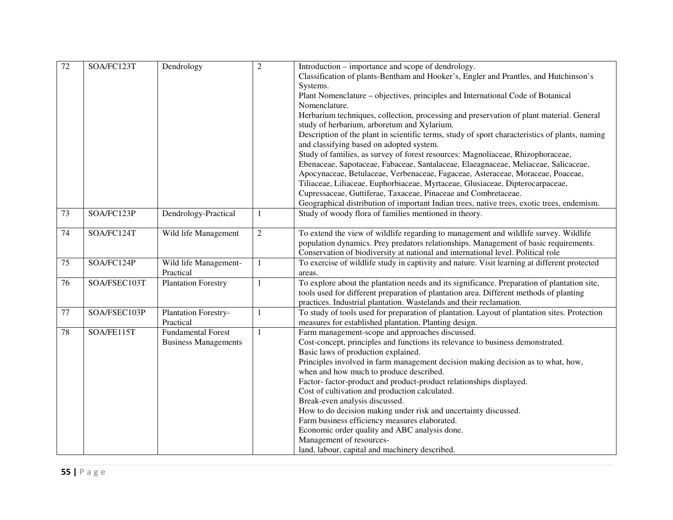| 72              | SOA/FC123T   | Dendrology                  | $\overline{2}$ | Introduction – importance and scope of dendrology.                                             |
|-----------------|--------------|-----------------------------|----------------|------------------------------------------------------------------------------------------------|
|                 |              |                             |                | Classification of plants-Bentham and Hooker's, Engler and Prantles, and Hutchinson's           |
|                 |              |                             |                | Systems.                                                                                       |
|                 |              |                             |                | Plant Nomenclature - objectives, principles and International Code of Botanical                |
|                 |              |                             |                | Nomenclature.                                                                                  |
|                 |              |                             |                | Herbarium techniques, collection, processing and preservation of plant material. General       |
|                 |              |                             |                | study of herbarium, arboretum and Xylarium.                                                    |
|                 |              |                             |                | Description of the plant in scientific terms, study of sport characteristics of plants, naming |
|                 |              |                             |                | and classifying based on adopted system.                                                       |
|                 |              |                             |                | Study of families, as survey of forest resources: Magnoliaceae, Rhizophoraceae,                |
|                 |              |                             |                | Ebenaceae, Sapotaceae, Fabaceae, Santalaceae, Elaeagnaceae, Meliaceae, Salicaceae,             |
|                 |              |                             |                | Apocynaceae, Betulaceae, Verbenaceae, Fagaceae, Asteraceae, Moraceae, Poaceae,                 |
|                 |              |                             |                | Tiliaceae, Liliaceae, Euphorbiaceae, Myrtaceae, Glusiaceae, Dipterocarpaceae,                  |
|                 |              |                             |                | Cupressaceae, Guttiferae, Taxaceae, Pinaceae and Combretaceae.                                 |
|                 |              |                             |                | Geographical distribution of important Indian trees, native trees, exotic trees, endemism.     |
| $\overline{73}$ | SOA/FC123P   | Dendrology-Practical        | $\mathbf{1}$   | Study of woody flora of families mentioned in theory.                                          |
|                 |              |                             |                |                                                                                                |
| 74              | SOA/FC124T   | Wild life Management        | $\overline{2}$ | To extend the view of wildlife regarding to management and wildlife survey. Wildlife           |
|                 |              |                             |                | population dynamics. Prey predators relationships. Management of basic requirements.           |
|                 |              |                             |                | Conservation of biodiversity at national and international level. Political role               |
| 75              | SOA/FC124P   | Wild life Management-       | $\mathbf{1}$   | To exercise of wildlife study in captivity and nature. Visit learning at different protected   |
|                 |              | Practical                   |                | areas.                                                                                         |
| 76              | SOA/FSEC103T | <b>Plantation Forestry</b>  | 1              | To explore about the plantation needs and its significance. Preparation of plantation site,    |
|                 |              |                             |                | tools used for different preparation of plantation area. Different methods of planting         |
|                 |              |                             |                | practices. Industrial plantation. Wastelands and their reclamation.                            |
| 77              | SOA/FSEC103P | Plantation Forestry-        | $\mathbf{1}$   | To study of tools used for preparation of plantation. Layout of plantation sites. Protection   |
|                 |              | Practical                   |                | measures for established plantation. Planting design.                                          |
| 78              | SOA/FE115T   | <b>Fundamental Forest</b>   | $\mathbf{1}$   | Farm management-scope and approaches discussed.                                                |
|                 |              | <b>Business Managements</b> |                | Cost-concept, principles and functions its relevance to business demonstrated.                 |
|                 |              |                             |                | Basic laws of production explained.                                                            |
|                 |              |                             |                | Principles involved in farm management decision making decision as to what, how,               |
|                 |              |                             |                | when and how much to produce described.                                                        |
|                 |              |                             |                | Factor-factor-product and product-product relationships displayed.                             |
|                 |              |                             |                | Cost of cultivation and production calculated.<br>Break-even analysis discussed.               |
|                 |              |                             |                | How to do decision making under risk and uncertainty discussed.                                |
|                 |              |                             |                | Farm business efficiency measures elaborated.                                                  |
|                 |              |                             |                | Economic order quality and ABC analysis done.                                                  |
|                 |              |                             |                | Management of resources-                                                                       |
|                 |              |                             |                | land, labour, capital and machinery described.                                                 |
|                 |              |                             |                |                                                                                                |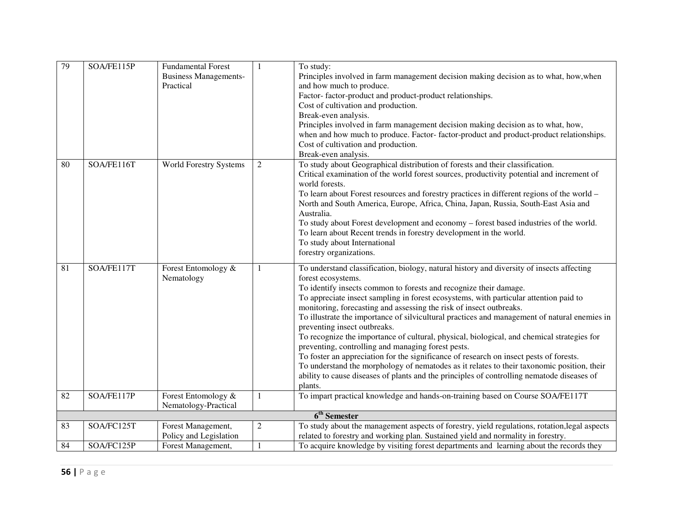| Principles involved in farm management decision making decision as to what, how, when<br><b>Business Managements-</b><br>Practical<br>and how much to produce. |  |
|----------------------------------------------------------------------------------------------------------------------------------------------------------------|--|
|                                                                                                                                                                |  |
|                                                                                                                                                                |  |
| Factor-factor-product and product-product relationships.                                                                                                       |  |
| Cost of cultivation and production.                                                                                                                            |  |
| Break-even analysis.                                                                                                                                           |  |
| Principles involved in farm management decision making decision as to what, how,                                                                               |  |
| when and how much to produce. Factor-factor-product and product-product relationships.                                                                         |  |
| Cost of cultivation and production.                                                                                                                            |  |
| Break-even analysis.                                                                                                                                           |  |
| To study about Geographical distribution of forests and their classification.<br>SOA/FE116T<br>80<br><b>World Forestry Systems</b><br>$\mathfrak{2}$           |  |
| Critical examination of the world forest sources, productivity potential and increment of                                                                      |  |
| world forests.                                                                                                                                                 |  |
| To learn about Forest resources and forestry practices in different regions of the world -                                                                     |  |
| North and South America, Europe, Africa, China, Japan, Russia, South-East Asia and                                                                             |  |
| Australia.                                                                                                                                                     |  |
| To study about Forest development and economy - forest based industries of the world.                                                                          |  |
| To learn about Recent trends in forestry development in the world.                                                                                             |  |
| To study about International                                                                                                                                   |  |
| forestry organizations.                                                                                                                                        |  |
| 81<br>SOA/FE117T<br>To understand classification, biology, natural history and diversity of insects affecting<br>Forest Entomology &<br>1                      |  |
| forest ecosystems.<br>Nematology                                                                                                                               |  |
| To identify insects common to forests and recognize their damage.                                                                                              |  |
| To appreciate insect sampling in forest ecosystems, with particular attention paid to                                                                          |  |
| monitoring, forecasting and assessing the risk of insect outbreaks.                                                                                            |  |
| To illustrate the importance of silvicultural practices and management of natural enemies in                                                                   |  |
| preventing insect outbreaks.                                                                                                                                   |  |
| To recognize the importance of cultural, physical, biological, and chemical strategies for                                                                     |  |
| preventing, controlling and managing forest pests.                                                                                                             |  |
| To foster an appreciation for the significance of research on insect pests of forests.                                                                         |  |
| To understand the morphology of nematodes as it relates to their taxonomic position, their                                                                     |  |
| ability to cause diseases of plants and the principles of controlling nematode diseases of                                                                     |  |
| plants.                                                                                                                                                        |  |
| To impart practical knowledge and hands-on-training based on Course SOA/FE117T<br>SOA/FE117P<br>Forest Entomology &<br>82<br>1                                 |  |
| Nematology-Practical<br>6 <sup>th</sup> Semester                                                                                                               |  |
| To study about the management aspects of forestry, yield regulations, rotation, legal aspects<br>83<br>$\overline{c}$<br>SOA/FC125T                            |  |
| Forest Management,<br>related to forestry and working plan. Sustained yield and normality in forestry.<br>Policy and Legislation                               |  |
| To acquire knowledge by visiting forest departments and learning about the records they<br>84<br>SOA/FC125P<br>Forest Management,                              |  |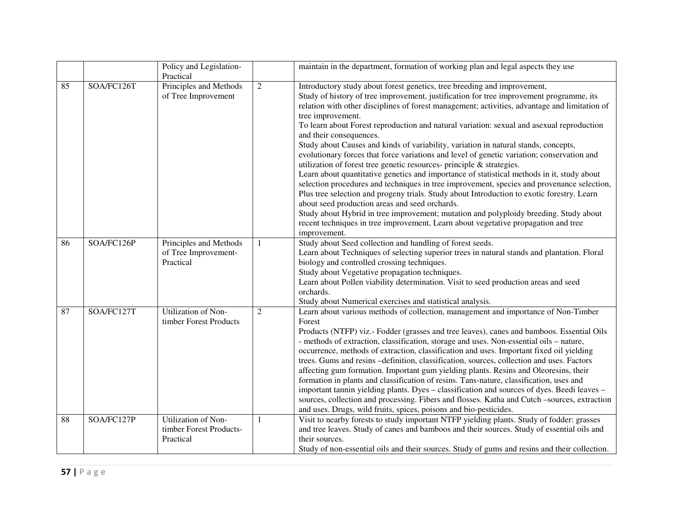|    |            | Policy and Legislation-           |                | maintain in the department, formation of working plan and legal aspects they use                                                           |
|----|------------|-----------------------------------|----------------|--------------------------------------------------------------------------------------------------------------------------------------------|
|    |            | Practical                         |                |                                                                                                                                            |
| 85 | SOA/FC126T | Principles and Methods            | $\overline{2}$ | Introductory study about forest genetics, tree breeding and improvement,                                                                   |
|    |            | of Tree Improvement               |                | Study of history of tree improvement, justification for tree improvement programme, its                                                    |
|    |            |                                   |                | relation with other disciplines of forest management; activities, advantage and limitation of                                              |
|    |            |                                   |                | tree improvement.                                                                                                                          |
|    |            |                                   |                | To learn about Forest reproduction and natural variation: sexual and asexual reproduction                                                  |
|    |            |                                   |                | and their consequences.                                                                                                                    |
|    |            |                                   |                | Study about Causes and kinds of variability, variation in natural stands, concepts,                                                        |
|    |            |                                   |                | evolutionary forces that force variations and level of genetic variation; conservation and                                                 |
|    |            |                                   |                | utilization of forest tree genetic resources- principle & strategies.                                                                      |
|    |            |                                   |                | Learn about quantitative genetics and importance of statistical methods in it, study about                                                 |
|    |            |                                   |                | selection procedures and techniques in tree improvement, species and provenance selection,                                                 |
|    |            |                                   |                | Plus tree selection and progeny trials. Study about Introduction to exotic forestry. Learn                                                 |
|    |            |                                   |                | about seed production areas and seed orchards.                                                                                             |
|    |            |                                   |                | Study about Hybrid in tree improvement; mutation and polyploidy breeding. Study about                                                      |
|    |            |                                   |                | recent techniques in tree improvement, Learn about vegetative propagation and tree                                                         |
|    |            |                                   |                | improvement.                                                                                                                               |
| 86 | SOA/FC126P | Principles and Methods            | $\mathbf{1}$   | Study about Seed collection and handling of forest seeds.                                                                                  |
|    |            | of Tree Improvement-<br>Practical |                | Learn about Techniques of selecting superior trees in natural stands and plantation. Floral<br>biology and controlled crossing techniques. |
|    |            |                                   |                | Study about Vegetative propagation techniques.                                                                                             |
|    |            |                                   |                | Learn about Pollen viability determination. Visit to seed production areas and seed                                                        |
|    |            |                                   |                | orchards.                                                                                                                                  |
|    |            |                                   |                | Study about Numerical exercises and statistical analysis.                                                                                  |
| 87 | SOA/FC127T | Utilization of Non-               | $\overline{2}$ | Learn about various methods of collection, management and importance of Non-Timber                                                         |
|    |            | timber Forest Products            |                | Forest                                                                                                                                     |
|    |            |                                   |                | Products (NTFP) viz.- Fodder (grasses and tree leaves), canes and bamboos. Essential Oils                                                  |
|    |            |                                   |                | - methods of extraction, classification, storage and uses. Non-essential oils - nature,                                                    |
|    |            |                                   |                | occurrence, methods of extraction, classification and uses. Important fixed oil yielding                                                   |
|    |            |                                   |                | trees. Gums and resins -definition, classification, sources, collection and uses. Factors                                                  |
|    |            |                                   |                | affecting gum formation. Important gum yielding plants. Resins and Oleoresins, their                                                       |
|    |            |                                   |                | formation in plants and classification of resins. Tans-nature, classification, uses and                                                    |
|    |            |                                   |                | important tannin yielding plants. Dyes - classification and sources of dyes. Beedi leaves -                                                |
|    |            |                                   |                | sources, collection and processing. Fibers and flosses. Katha and Cutch -sources, extraction                                               |
|    |            |                                   |                | and uses. Drugs, wild fruits, spices, poisons and bio-pesticides.                                                                          |
| 88 | SOA/FC127P | Utilization of Non-               | 1              | Visit to nearby forests to study important NTFP yielding plants. Study of fodder: grasses                                                  |
|    |            | timber Forest Products-           |                | and tree leaves. Study of canes and bamboos and their sources. Study of essential oils and                                                 |
|    |            | Practical                         |                | their sources.                                                                                                                             |
|    |            |                                   |                | Study of non-essential oils and their sources. Study of gums and resins and their collection.                                              |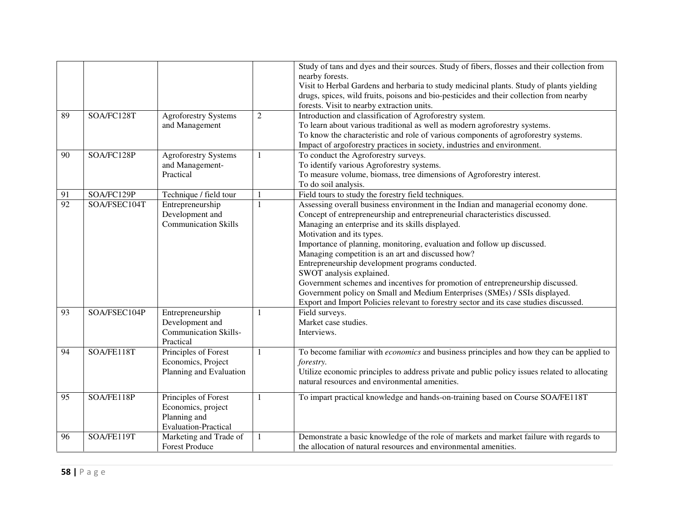| 89<br>90 | SOA/FC128T<br>SOA/FC128P | <b>Agroforestry Systems</b><br>and Management                                             | $\overline{c}$<br>1 | Study of tans and dyes and their sources. Study of fibers, flosses and their collection from<br>nearby forests.<br>Visit to Herbal Gardens and herbaria to study medicinal plants. Study of plants yielding<br>drugs, spices, wild fruits, poisons and bio-pesticides and their collection from nearby<br>forests. Visit to nearby extraction units.<br>Introduction and classification of Agroforestry system.<br>To learn about various traditional as well as modern agroforestry systems.<br>To know the characteristic and role of various components of agroforestry systems.<br>Impact of argoforestry practices in society, industries and environment.<br>To conduct the Agroforestry surveys.                    |
|----------|--------------------------|-------------------------------------------------------------------------------------------|---------------------|----------------------------------------------------------------------------------------------------------------------------------------------------------------------------------------------------------------------------------------------------------------------------------------------------------------------------------------------------------------------------------------------------------------------------------------------------------------------------------------------------------------------------------------------------------------------------------------------------------------------------------------------------------------------------------------------------------------------------|
|          |                          | Agroforestry Systems<br>and Management-<br>Practical                                      |                     | To identify various Agroforestry systems.<br>To measure volume, biomass, tree dimensions of Agroforestry interest.<br>To do soil analysis.                                                                                                                                                                                                                                                                                                                                                                                                                                                                                                                                                                                 |
| 91       | SOA/FC129P               | Technique / field tour                                                                    |                     | Field tours to study the forestry field techniques.                                                                                                                                                                                                                                                                                                                                                                                                                                                                                                                                                                                                                                                                        |
| 92       | SOA/FSEC104T             | Entrepreneurship<br>Development and<br><b>Communication Skills</b>                        | $\mathbf{1}$        | Assessing overall business environment in the Indian and managerial economy done.<br>Concept of entrepreneurship and entrepreneurial characteristics discussed.<br>Managing an enterprise and its skills displayed.<br>Motivation and its types.<br>Importance of planning, monitoring, evaluation and follow up discussed.<br>Managing competition is an art and discussed how?<br>Entrepreneurship development programs conducted.<br>SWOT analysis explained.<br>Government schemes and incentives for promotion of entrepreneurship discussed.<br>Government policy on Small and Medium Enterprises (SMEs) / SSIs displayed.<br>Export and Import Policies relevant to forestry sector and its case studies discussed. |
| 93       | SOA/FSEC104P             | Entrepreneurship<br>Development and<br><b>Communication Skills-</b><br>Practical          |                     | Field surveys.<br>Market case studies.<br>Interviews.                                                                                                                                                                                                                                                                                                                                                                                                                                                                                                                                                                                                                                                                      |
| 94       | SOA/FE118T               | Principles of Forest<br>Economics, Project<br>Planning and Evaluation                     | 1                   | To become familiar with <i>economics</i> and business principles and how they can be applied to<br><i>forestry.</i><br>Utilize economic principles to address private and public policy issues related to allocating<br>natural resources and environmental amenities.                                                                                                                                                                                                                                                                                                                                                                                                                                                     |
| 95       | SOA/FE118P               | Principles of Forest<br>Economics, project<br>Planning and<br><b>Evaluation-Practical</b> | $\mathbf{1}$        | To impart practical knowledge and hands-on-training based on Course SOA/FE118T                                                                                                                                                                                                                                                                                                                                                                                                                                                                                                                                                                                                                                             |
| 96       | SOA/FE119T               | Marketing and Trade of<br><b>Forest Produce</b>                                           | 1                   | Demonstrate a basic knowledge of the role of markets and market failure with regards to<br>the allocation of natural resources and environmental amenities.                                                                                                                                                                                                                                                                                                                                                                                                                                                                                                                                                                |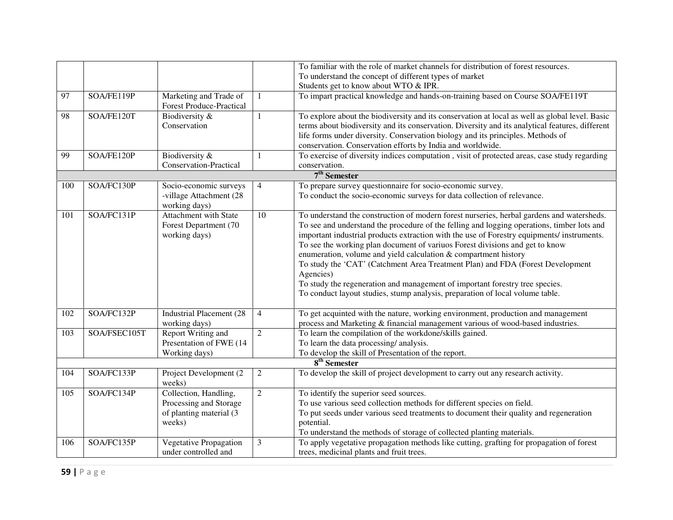|     |              |                                                           |                | To familiar with the role of market channels for distribution of forest resources.              |
|-----|--------------|-----------------------------------------------------------|----------------|-------------------------------------------------------------------------------------------------|
|     |              |                                                           |                | To understand the concept of different types of market                                          |
|     |              |                                                           |                | Students get to know about WTO & IPR.                                                           |
| 97  | SOA/FE119P   | Marketing and Trade of<br><b>Forest Produce-Practical</b> | $\mathbf{1}$   | To impart practical knowledge and hands-on-training based on Course SOA/FE119T                  |
| 98  | SOA/FE120T   | Biodiversity &                                            | 1              | To explore about the biodiversity and its conservation at local as well as global level. Basic  |
|     |              | Conservation                                              |                | terms about biodiversity and its conservation. Diversity and its analytical features, different |
|     |              |                                                           |                | life forms under diversity. Conservation biology and its principles. Methods of                 |
|     |              |                                                           |                | conservation. Conservation efforts by India and worldwide.                                      |
| 99  | SOA/FE120P   | Biodiversity &                                            | $\mathbf{1}$   | To exercise of diversity indices computation, visit of protected areas, case study regarding    |
|     |              | Conservation-Practical                                    |                | conservation.                                                                                   |
|     |              |                                                           |                | 7 <sup>th</sup> Semester                                                                        |
| 100 | SOA/FC130P   | Socio-economic surveys                                    | $\overline{4}$ | To prepare survey questionnaire for socio-economic survey.                                      |
|     |              | -village Attachment (28<br>working days)                  |                | To conduct the socio-economic surveys for data collection of relevance.                         |
| 101 | SOA/FC131P   | Attachment with State                                     | 10             | To understand the construction of modern forest nurseries, herbal gardens and watersheds.       |
|     |              | Forest Department (70                                     |                | To see and understand the procedure of the felling and logging operations, timber lots and      |
|     |              | working days)                                             |                | important industrial products extraction with the use of Forestry equipments/ instruments.      |
|     |              |                                                           |                | To see the working plan document of variuos Forest divisions and get to know                    |
|     |              |                                                           |                | enumeration, volume and yield calculation & compartment history                                 |
|     |              |                                                           |                | To study the 'CAT' (Catchment Area Treatment Plan) and FDA (Forest Development                  |
|     |              |                                                           |                | Agencies)                                                                                       |
|     |              |                                                           |                | To study the regeneration and management of important forestry tree species.                    |
|     |              |                                                           |                | To conduct layout studies, stump analysis, preparation of local volume table.                   |
| 102 | SOA/FC132P   | <b>Industrial Placement (28)</b>                          | $\overline{4}$ | To get acquinted with the nature, working environment, production and management                |
|     |              | working days)                                             |                | process and Marketing & financial management various of wood-based industries.                  |
| 103 | SOA/FSEC105T | Report Writing and                                        | $\overline{2}$ | To learn the compilation of the workdone/skills gained.                                         |
|     |              | Presentation of FWE (14                                   |                | To learn the data processing/analysis.                                                          |
|     |              | Working days)                                             |                | To develop the skill of Presentation of the report.                                             |
|     |              |                                                           |                | $8th$ Semester                                                                                  |
| 104 | SOA/FC133P   | Project Development (2)<br>weeks)                         | $\overline{2}$ | To develop the skill of project development to carry out any research activity.                 |
| 105 | SOA/FC134P   | Collection, Handling,                                     | $\overline{2}$ | To identify the superior seed sources.                                                          |
|     |              | Processing and Storage                                    |                | To use various seed collection methods for different species on field.                          |
|     |              | of planting material (3                                   |                | To put seeds under various seed treatments to document their quality and regeneration           |
|     |              | weeks)                                                    |                | potential.                                                                                      |
|     |              |                                                           |                | To understand the methods of storage of collected planting materials.                           |
| 106 | SOA/FC135P   | Vegetative Propagation                                    | 3              | To apply vegetative propagation methods like cutting, grafting for propagation of forest        |
|     |              | under controlled and                                      |                | trees, medicinal plants and fruit trees.                                                        |